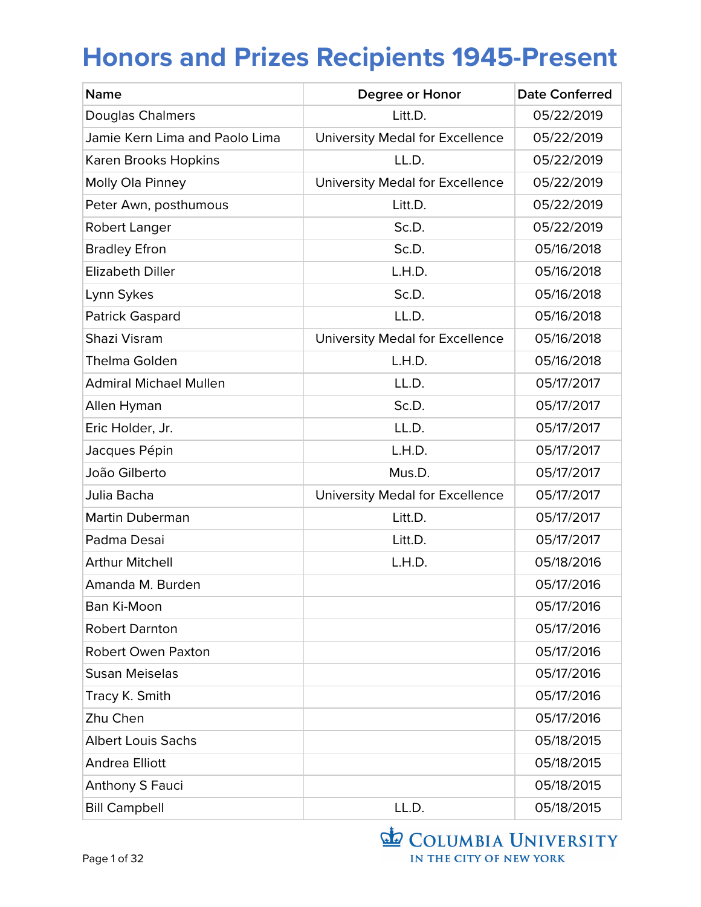| <b>Name</b>                    | Degree or Honor                 | <b>Date Conferred</b> |
|--------------------------------|---------------------------------|-----------------------|
| <b>Douglas Chalmers</b>        | Litt.D.                         | 05/22/2019            |
| Jamie Kern Lima and Paolo Lima | University Medal for Excellence | 05/22/2019            |
| Karen Brooks Hopkins           | LL.D.                           | 05/22/2019            |
| Molly Ola Pinney               | University Medal for Excellence | 05/22/2019            |
| Peter Awn, posthumous          | Litt.D.                         | 05/22/2019            |
| Robert Langer                  | Sc.D.                           | 05/22/2019            |
| <b>Bradley Efron</b>           | Sc.D.                           | 05/16/2018            |
| <b>Elizabeth Diller</b>        | L.H.D.                          | 05/16/2018            |
| Lynn Sykes                     | Sc.D.                           | 05/16/2018            |
| <b>Patrick Gaspard</b>         | LL.D.                           | 05/16/2018            |
| Shazi Visram                   | University Medal for Excellence | 05/16/2018            |
| <b>Thelma Golden</b>           | L.H.D.                          | 05/16/2018            |
| <b>Admiral Michael Mullen</b>  | LL.D.                           | 05/17/2017            |
| Allen Hyman                    | Sc.D.                           | 05/17/2017            |
| Eric Holder, Jr.               | LL.D.                           | 05/17/2017            |
| Jacques Pépin                  | L.H.D.                          | 05/17/2017            |
| João Gilberto                  | Mus.D.                          | 05/17/2017            |
| Julia Bacha                    | University Medal for Excellence | 05/17/2017            |
| <b>Martin Duberman</b>         | Litt.D.                         | 05/17/2017            |
| Padma Desai                    | Litt.D.                         | 05/17/2017            |
| <b>Arthur Mitchell</b>         | L.H.D.                          | 05/18/2016            |
| Amanda M. Burden               |                                 | 05/17/2016            |
| Ban Ki-Moon                    |                                 | 05/17/2016            |
| <b>Robert Darnton</b>          |                                 | 05/17/2016            |
| <b>Robert Owen Paxton</b>      |                                 | 05/17/2016            |
| <b>Susan Meiselas</b>          |                                 | 05/17/2016            |
| Tracy K. Smith                 |                                 | 05/17/2016            |
| Zhu Chen                       |                                 | 05/17/2016            |
| <b>Albert Louis Sachs</b>      |                                 | 05/18/2015            |
| <b>Andrea Elliott</b>          |                                 | 05/18/2015            |
| Anthony S Fauci                |                                 | 05/18/2015            |
| <b>Bill Campbell</b>           | LL.D.                           | 05/18/2015            |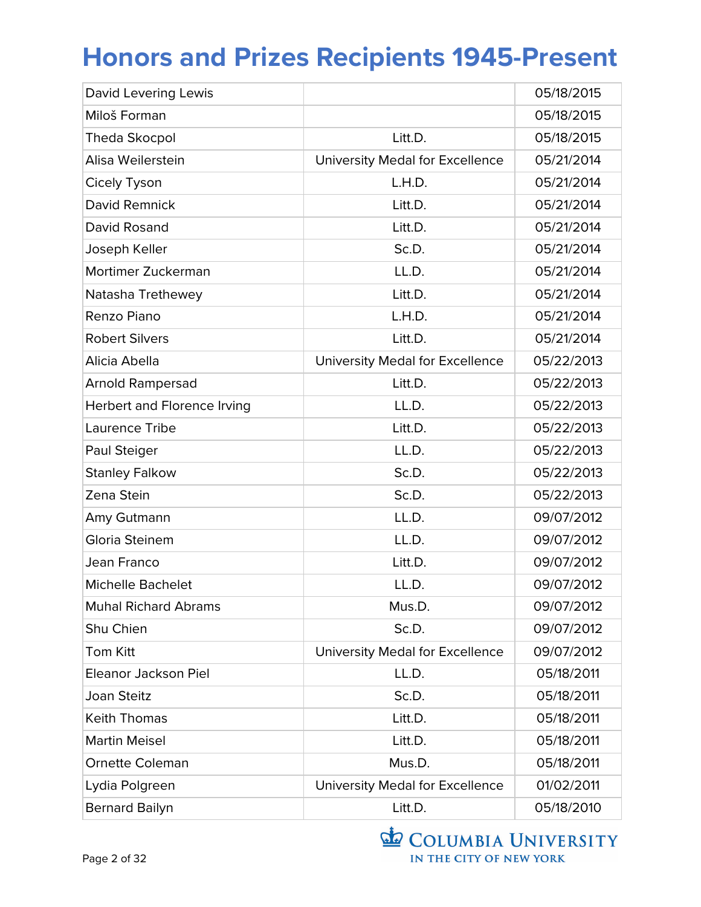| David Levering Lewis        |                                 | 05/18/2015 |
|-----------------------------|---------------------------------|------------|
| Miloš Forman                |                                 | 05/18/2015 |
| <b>Theda Skocpol</b>        | Litt.D.                         | 05/18/2015 |
| Alisa Weilerstein           | University Medal for Excellence | 05/21/2014 |
| Cicely Tyson                | L.H.D.                          | 05/21/2014 |
| David Remnick               | Litt.D.                         | 05/21/2014 |
| David Rosand                | Litt.D.                         | 05/21/2014 |
| Joseph Keller               | Sc.D.                           | 05/21/2014 |
| Mortimer Zuckerman          | LL.D.                           | 05/21/2014 |
| Natasha Trethewey           | Litt.D.                         | 05/21/2014 |
| Renzo Piano                 | L.H.D.                          | 05/21/2014 |
| <b>Robert Silvers</b>       | Litt.D.                         | 05/21/2014 |
| Alicia Abella               | University Medal for Excellence | 05/22/2013 |
| <b>Arnold Rampersad</b>     | Litt.D.                         | 05/22/2013 |
| Herbert and Florence Irving | LL.D.                           | 05/22/2013 |
| Laurence Tribe              | Litt.D.                         | 05/22/2013 |
| Paul Steiger                | LL.D.                           | 05/22/2013 |
| <b>Stanley Falkow</b>       | Sc.D.                           | 05/22/2013 |
| Zena Stein                  | Sc.D.                           | 05/22/2013 |
| Amy Gutmann                 | LL.D.                           | 09/07/2012 |
| Gloria Steinem              | LL.D.                           | 09/07/2012 |
| Jean Franco                 | Litt.D.                         | 09/07/2012 |
| <b>Michelle Bachelet</b>    | LL.D.                           | 09/07/2012 |
| <b>Muhal Richard Abrams</b> | Mus.D.                          | 09/07/2012 |
| Shu Chien                   | Sc.D.                           | 09/07/2012 |
| <b>Tom Kitt</b>             | University Medal for Excellence | 09/07/2012 |
| Eleanor Jackson Piel        | LL.D.                           | 05/18/2011 |
| Joan Steitz                 | Sc.D.                           | 05/18/2011 |
| <b>Keith Thomas</b>         | Litt.D.                         | 05/18/2011 |
| <b>Martin Meisel</b>        | Litt.D.                         | 05/18/2011 |
| <b>Ornette Coleman</b>      | Mus.D.                          | 05/18/2011 |
| Lydia Polgreen              | University Medal for Excellence | 01/02/2011 |
| <b>Bernard Bailyn</b>       | Litt.D.                         | 05/18/2010 |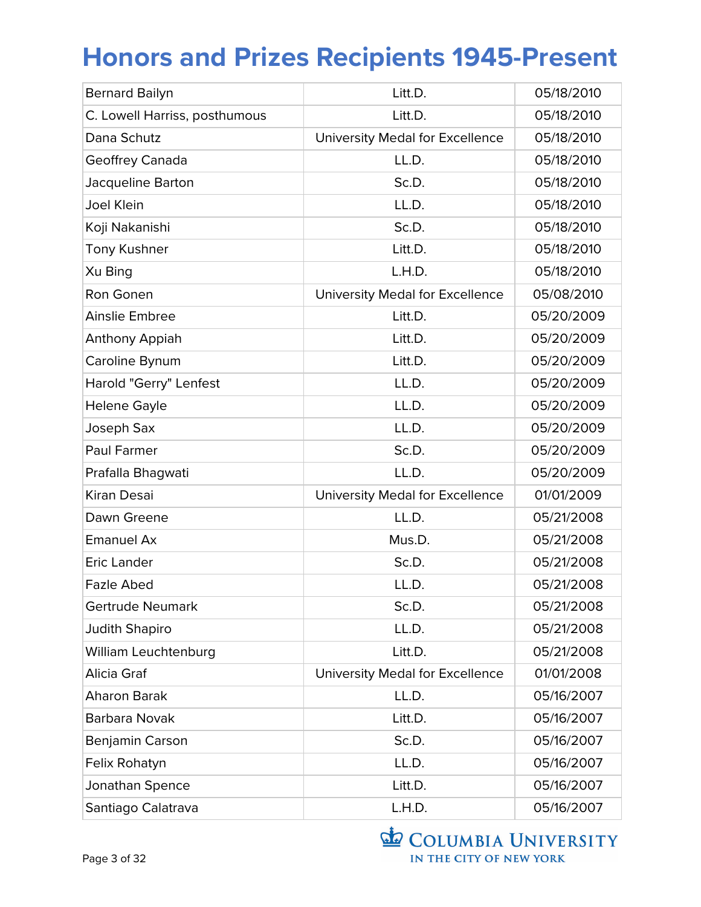| <b>Bernard Bailyn</b>         | Litt.D.                         | 05/18/2010 |
|-------------------------------|---------------------------------|------------|
| C. Lowell Harriss, posthumous | Litt.D.                         | 05/18/2010 |
| Dana Schutz                   | University Medal for Excellence | 05/18/2010 |
| Geoffrey Canada               | LL.D.                           | 05/18/2010 |
| Jacqueline Barton             | Sc.D.                           | 05/18/2010 |
| Joel Klein                    | LL.D.                           | 05/18/2010 |
| Koji Nakanishi                | Sc.D.                           | 05/18/2010 |
| <b>Tony Kushner</b>           | Litt.D.                         | 05/18/2010 |
| Xu Bing                       | L.H.D.                          | 05/18/2010 |
| Ron Gonen                     | University Medal for Excellence | 05/08/2010 |
| <b>Ainslie Embree</b>         | Litt.D.                         | 05/20/2009 |
| Anthony Appiah                | Litt.D.                         | 05/20/2009 |
| Caroline Bynum                | Litt.D.                         | 05/20/2009 |
| Harold "Gerry" Lenfest        | LL.D.                           | 05/20/2009 |
| <b>Helene Gayle</b>           | LL.D.                           | 05/20/2009 |
| Joseph Sax                    | LL.D.                           | 05/20/2009 |
| Paul Farmer                   | Sc.D.                           | 05/20/2009 |
| Prafalla Bhagwati             | LL.D.                           | 05/20/2009 |
| Kiran Desai                   | University Medal for Excellence | 01/01/2009 |
| Dawn Greene                   | LL.D.                           | 05/21/2008 |
| <b>Emanuel Ax</b>             | Mus.D.                          | 05/21/2008 |
| <b>Eric Lander</b>            | Sc.D.                           | 05/21/2008 |
| <b>Fazle Abed</b>             | LL.D.                           | 05/21/2008 |
| Gertrude Neumark              | Sc.D.                           | 05/21/2008 |
| <b>Judith Shapiro</b>         | LL.D.                           | 05/21/2008 |
| William Leuchtenburg          | Litt.D.                         | 05/21/2008 |
| Alicia Graf                   | University Medal for Excellence | 01/01/2008 |
| Aharon Barak                  | LL.D.                           | 05/16/2007 |
| Barbara Novak                 | Litt.D.                         | 05/16/2007 |
| Benjamin Carson               | Sc.D.                           | 05/16/2007 |
| Felix Rohatyn                 | LL.D.                           | 05/16/2007 |
| Jonathan Spence               | Litt.D.                         | 05/16/2007 |
| Santiago Calatrava            | L.H.D.                          | 05/16/2007 |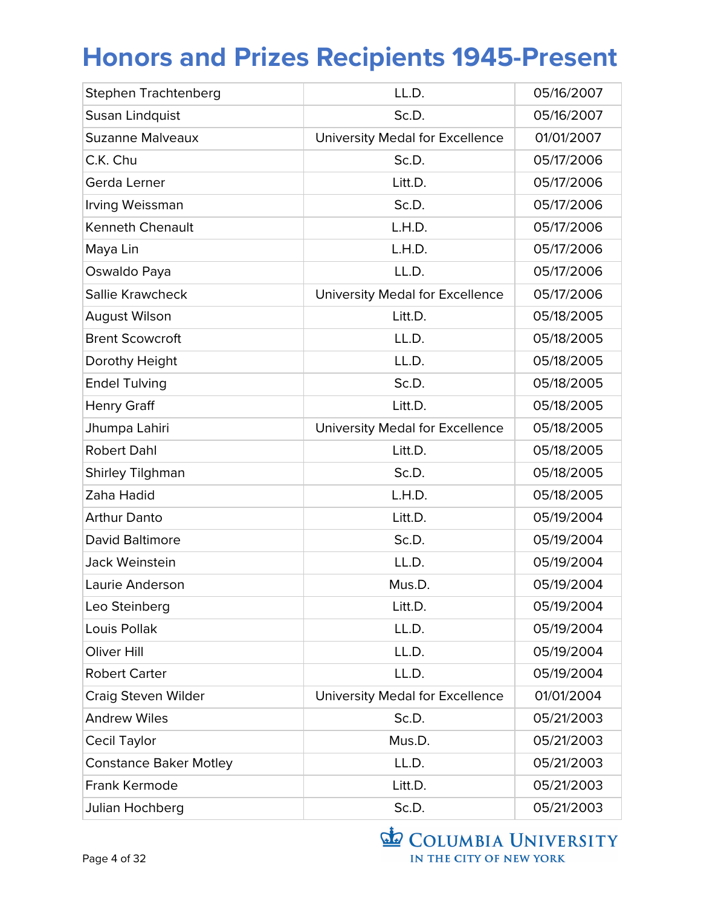| Stephen Trachtenberg          | LL.D.                           | 05/16/2007 |
|-------------------------------|---------------------------------|------------|
| Susan Lindquist               | Sc.D.                           | 05/16/2007 |
| <b>Suzanne Malveaux</b>       | University Medal for Excellence | 01/01/2007 |
| C.K. Chu                      | Sc.D.                           | 05/17/2006 |
| Gerda Lerner                  | Litt.D.                         | 05/17/2006 |
| Irving Weissman               | Sc.D.                           | 05/17/2006 |
| <b>Kenneth Chenault</b>       | L.H.D.                          | 05/17/2006 |
| Maya Lin                      | L.H.D.                          | 05/17/2006 |
| Oswaldo Paya                  | LL.D.                           | 05/17/2006 |
| Sallie Krawcheck              | University Medal for Excellence | 05/17/2006 |
| <b>August Wilson</b>          | Litt.D.                         | 05/18/2005 |
| <b>Brent Scowcroft</b>        | LL.D.                           | 05/18/2005 |
| Dorothy Height                | LL.D.                           | 05/18/2005 |
| <b>Endel Tulving</b>          | Sc.D.                           | 05/18/2005 |
| <b>Henry Graff</b>            | Litt.D.                         | 05/18/2005 |
| Jhumpa Lahiri                 | University Medal for Excellence | 05/18/2005 |
| <b>Robert Dahl</b>            | Litt.D.                         | 05/18/2005 |
| <b>Shirley Tilghman</b>       | Sc.D.                           | 05/18/2005 |
| Zaha Hadid                    | L.H.D.                          | 05/18/2005 |
| <b>Arthur Danto</b>           | Litt.D.                         | 05/19/2004 |
| David Baltimore               | Sc.D.                           | 05/19/2004 |
| Jack Weinstein                | LL.D.                           | 05/19/2004 |
| Laurie Anderson               | Mus.D.                          | 05/19/2004 |
| Leo Steinberg                 | Litt.D.                         | 05/19/2004 |
| Louis Pollak                  | LL.D.                           | 05/19/2004 |
| Oliver Hill                   | LL.D.                           | 05/19/2004 |
| <b>Robert Carter</b>          | LL.D.                           | 05/19/2004 |
| Craig Steven Wilder           | University Medal for Excellence | 01/01/2004 |
| <b>Andrew Wiles</b>           | Sc.D.                           | 05/21/2003 |
| <b>Cecil Taylor</b>           | Mus.D.                          | 05/21/2003 |
| <b>Constance Baker Motley</b> | LL.D.                           | 05/21/2003 |
| Frank Kermode                 | Litt.D.                         | 05/21/2003 |
| Julian Hochberg               | Sc.D.                           | 05/21/2003 |

COLUMBIA UNIVERSITY IN THE CITY OF NEW YORK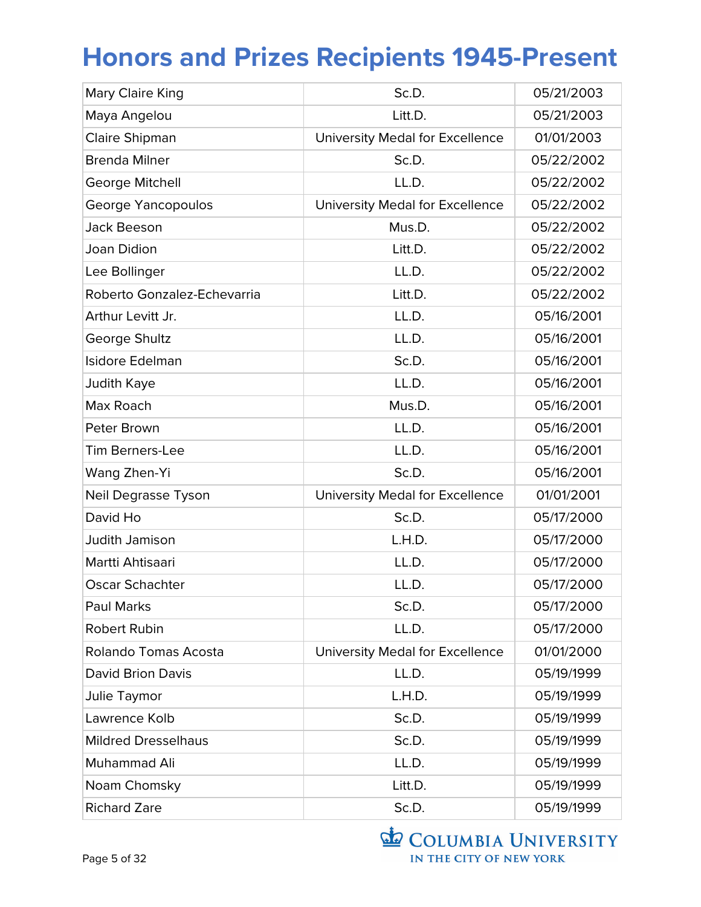| Mary Claire King            | Sc.D.                           | 05/21/2003 |
|-----------------------------|---------------------------------|------------|
| Maya Angelou                | Litt.D.                         | 05/21/2003 |
| Claire Shipman              | University Medal for Excellence | 01/01/2003 |
| <b>Brenda Milner</b>        | Sc.D.                           | 05/22/2002 |
| George Mitchell             | LL.D.                           | 05/22/2002 |
| George Yancopoulos          | University Medal for Excellence | 05/22/2002 |
| <b>Jack Beeson</b>          | Mus.D.                          | 05/22/2002 |
| <b>Joan Didion</b>          | Litt.D.                         | 05/22/2002 |
| Lee Bollinger               | LL.D.                           | 05/22/2002 |
| Roberto Gonzalez-Echevarria | Litt.D.                         | 05/22/2002 |
| Arthur Levitt Jr.           | LL.D.                           | 05/16/2001 |
| George Shultz               | LL.D.                           | 05/16/2001 |
| Isidore Edelman             | Sc.D.                           | 05/16/2001 |
| Judith Kaye                 | LL.D.                           | 05/16/2001 |
| Max Roach                   | Mus.D.                          | 05/16/2001 |
| Peter Brown                 | LL.D.                           | 05/16/2001 |
| <b>Tim Berners-Lee</b>      | LL.D.                           | 05/16/2001 |
| Wang Zhen-Yi                | Sc.D.                           | 05/16/2001 |
| Neil Degrasse Tyson         | University Medal for Excellence | 01/01/2001 |
| David Ho                    | Sc.D.                           | 05/17/2000 |
| Judith Jamison              | L.H.D.                          | 05/17/2000 |
| Martti Ahtisaari            | LL.D.                           | 05/17/2000 |
| <b>Oscar Schachter</b>      | LL.D.                           | 05/17/2000 |
| <b>Paul Marks</b>           | Sc.D.                           | 05/17/2000 |
| Robert Rubin                | LL.D.                           | 05/17/2000 |
| <b>Rolando Tomas Acosta</b> | University Medal for Excellence | 01/01/2000 |
| <b>David Brion Davis</b>    | LL.D.                           | 05/19/1999 |
| Julie Taymor                | L.H.D.                          | 05/19/1999 |
| Lawrence Kolb               | Sc.D.                           | 05/19/1999 |
| <b>Mildred Dresselhaus</b>  | Sc.D.                           | 05/19/1999 |
| Muhammad Ali                | LL.D.                           | 05/19/1999 |
| Noam Chomsky                | Litt.D.                         | 05/19/1999 |
| <b>Richard Zare</b>         | Sc.D.                           | 05/19/1999 |

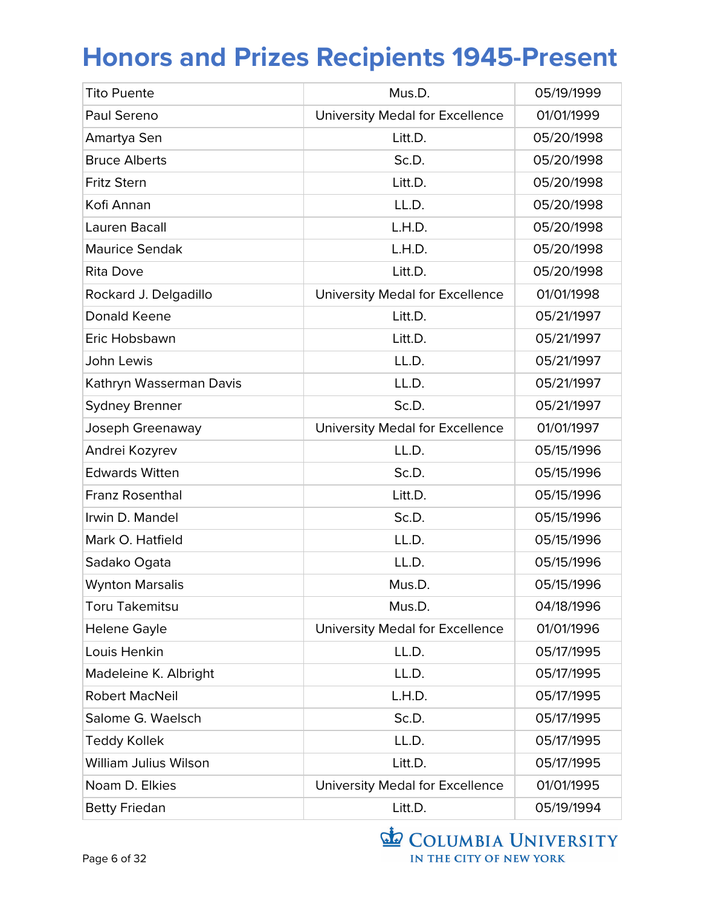| <b>Tito Puente</b>      | Mus.D.                          | 05/19/1999 |
|-------------------------|---------------------------------|------------|
| Paul Sereno             | University Medal for Excellence | 01/01/1999 |
| Amartya Sen             | Litt.D.                         | 05/20/1998 |
| <b>Bruce Alberts</b>    | Sc.D.                           | 05/20/1998 |
| <b>Fritz Stern</b>      | Litt.D.                         | 05/20/1998 |
| Kofi Annan              | LL.D.                           | 05/20/1998 |
| Lauren Bacall           | L.H.D.                          | 05/20/1998 |
| <b>Maurice Sendak</b>   | L.H.D.                          | 05/20/1998 |
| <b>Rita Dove</b>        | Litt.D.                         | 05/20/1998 |
| Rockard J. Delgadillo   | University Medal for Excellence | 01/01/1998 |
| Donald Keene            | Litt.D.                         | 05/21/1997 |
| Eric Hobsbawn           | Litt.D.                         | 05/21/1997 |
| John Lewis              | LL.D.                           | 05/21/1997 |
| Kathryn Wasserman Davis | LL.D.                           | 05/21/1997 |
| <b>Sydney Brenner</b>   | Sc.D.                           | 05/21/1997 |
| Joseph Greenaway        | University Medal for Excellence | 01/01/1997 |
| Andrei Kozyrev          | LL.D.                           | 05/15/1996 |
| <b>Edwards Witten</b>   | Sc.D.                           | 05/15/1996 |
| <b>Franz Rosenthal</b>  | Litt.D.                         | 05/15/1996 |
| Irwin D. Mandel         | Sc.D.                           | 05/15/1996 |
| Mark O. Hatfield        | LL.D.                           | 05/15/1996 |
| Sadako Ogata            | LL.D.                           | 05/15/1996 |
| <b>Wynton Marsalis</b>  | Mus.D.                          | 05/15/1996 |
| <b>Toru Takemitsu</b>   | Mus.D.                          | 04/18/1996 |
| Helene Gayle            | University Medal for Excellence | 01/01/1996 |
| Louis Henkin            | LL.D.                           | 05/17/1995 |
| Madeleine K. Albright   | LL.D.                           | 05/17/1995 |
| <b>Robert MacNeil</b>   | L.H.D.                          | 05/17/1995 |
| Salome G. Waelsch       | Sc.D.                           | 05/17/1995 |
| <b>Teddy Kollek</b>     | LL.D.                           | 05/17/1995 |
| William Julius Wilson   | Litt.D.                         | 05/17/1995 |
| Noam D. Elkies          | University Medal for Excellence | 01/01/1995 |
| <b>Betty Friedan</b>    | Litt.D.                         | 05/19/1994 |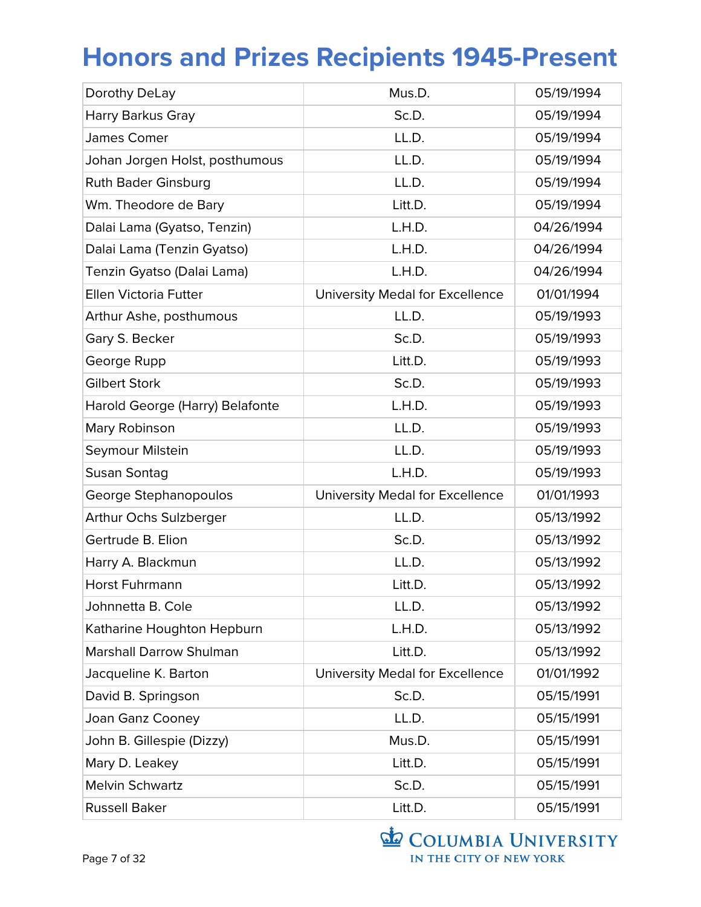| Dorothy DeLay                   | Mus.D.                          | 05/19/1994 |
|---------------------------------|---------------------------------|------------|
| <b>Harry Barkus Gray</b>        | Sc.D.                           | 05/19/1994 |
| James Comer                     | LL.D.                           | 05/19/1994 |
| Johan Jorgen Holst, posthumous  | LL.D.                           | 05/19/1994 |
| <b>Ruth Bader Ginsburg</b>      | LL.D.                           | 05/19/1994 |
| Wm. Theodore de Bary            | Litt.D.                         | 05/19/1994 |
| Dalai Lama (Gyatso, Tenzin)     | L.H.D.                          | 04/26/1994 |
| Dalai Lama (Tenzin Gyatso)      | L.H.D.                          | 04/26/1994 |
| Tenzin Gyatso (Dalai Lama)      | L.H.D.                          | 04/26/1994 |
| Ellen Victoria Futter           | University Medal for Excellence | 01/01/1994 |
| Arthur Ashe, posthumous         | LL.D.                           | 05/19/1993 |
| Gary S. Becker                  | Sc.D.                           | 05/19/1993 |
| George Rupp                     | Litt.D.                         | 05/19/1993 |
| <b>Gilbert Stork</b>            | Sc.D.                           | 05/19/1993 |
| Harold George (Harry) Belafonte | L.H.D.                          | 05/19/1993 |
| Mary Robinson                   | LL.D.                           | 05/19/1993 |
| Seymour Milstein                | LL.D.                           | 05/19/1993 |
| Susan Sontag                    | L.H.D.                          | 05/19/1993 |
| George Stephanopoulos           | University Medal for Excellence | 01/01/1993 |
| Arthur Ochs Sulzberger          | LL.D.                           | 05/13/1992 |
| Gertrude B. Elion               | Sc.D.                           | 05/13/1992 |
| Harry A. Blackmun               | LL.D.                           | 05/13/1992 |
| <b>Horst Fuhrmann</b>           | Litt.D.                         | 05/13/1992 |
| Johnnetta B. Cole               | LL.D.                           | 05/13/1992 |
| Katharine Houghton Hepburn      | L.H.D.                          | 05/13/1992 |
| <b>Marshall Darrow Shulman</b>  | Litt.D.                         | 05/13/1992 |
| Jacqueline K. Barton            | University Medal for Excellence | 01/01/1992 |
| David B. Springson              | Sc.D.                           | 05/15/1991 |
| Joan Ganz Cooney                | LL.D.                           | 05/15/1991 |
| John B. Gillespie (Dizzy)       | Mus.D.                          | 05/15/1991 |
| Mary D. Leakey                  | Litt.D.                         | 05/15/1991 |
| <b>Melvin Schwartz</b>          | Sc.D.                           | 05/15/1991 |
| <b>Russell Baker</b>            | Litt.D.                         | 05/15/1991 |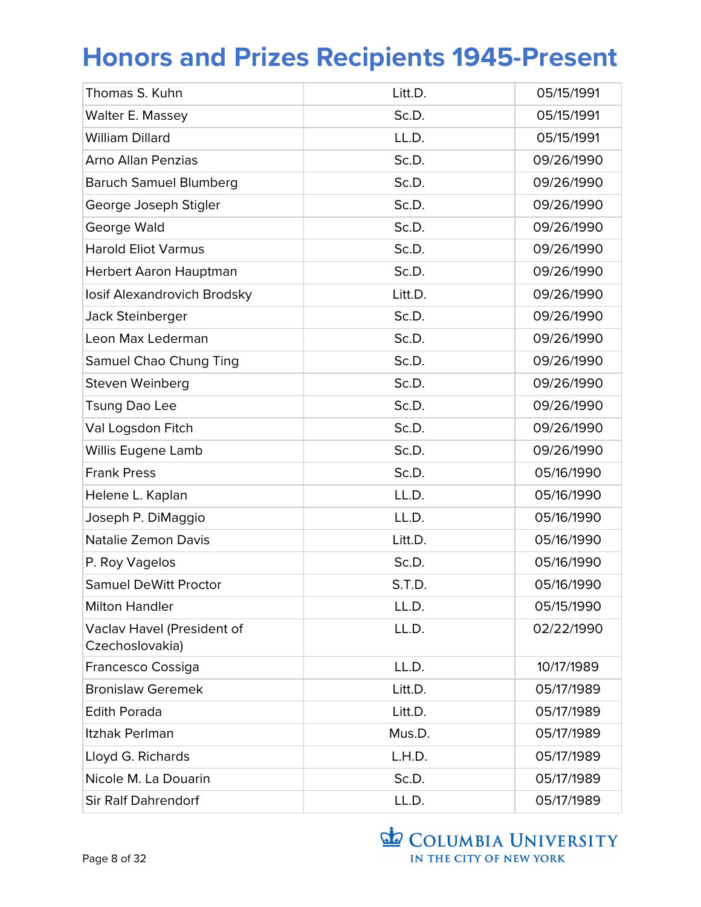| Thomas S. Kuhn                                | Litt.D. | 05/15/1991 |
|-----------------------------------------------|---------|------------|
| Walter E. Massey                              | Sc.D.   | 05/15/1991 |
| <b>William Dillard</b>                        | LL.D.   | 05/15/1991 |
| <b>Arno Allan Penzias</b>                     | Sc.D.   | 09/26/1990 |
| <b>Baruch Samuel Blumberg</b>                 | Sc.D.   | 09/26/1990 |
| George Joseph Stigler                         | Sc.D.   | 09/26/1990 |
| George Wald                                   | Sc.D.   | 09/26/1990 |
| <b>Harold Eliot Varmus</b>                    | Sc.D.   | 09/26/1990 |
| Herbert Aaron Hauptman                        | Sc.D.   | 09/26/1990 |
| losif Alexandrovich Brodsky                   | Litt.D. | 09/26/1990 |
| Jack Steinberger                              | Sc.D.   | 09/26/1990 |
| Leon Max Lederman                             | Sc.D.   | 09/26/1990 |
| Samuel Chao Chung Ting                        | Sc.D.   | 09/26/1990 |
| Steven Weinberg                               | Sc.D.   | 09/26/1990 |
| <b>Tsung Dao Lee</b>                          | Sc.D.   | 09/26/1990 |
| Val Logsdon Fitch                             | Sc.D.   | 09/26/1990 |
| Willis Eugene Lamb                            | Sc.D.   | 09/26/1990 |
| <b>Frank Press</b>                            | Sc.D.   | 05/16/1990 |
| Helene L. Kaplan                              | LL.D.   | 05/16/1990 |
| Joseph P. DiMaggio                            | LL.D.   | 05/16/1990 |
| <b>Natalie Zemon Davis</b>                    | Litt.D. | 05/16/1990 |
| P. Roy Vagelos                                | Sc.D.   | 05/16/1990 |
| <b>Samuel DeWitt Proctor</b>                  | S.T.D.  | 05/16/1990 |
| <b>Milton Handler</b>                         | LL.D.   | 05/15/1990 |
| Vaclav Havel (President of<br>Czechoslovakia) | LL.D.   | 02/22/1990 |
| Francesco Cossiga                             | LL.D.   | 10/17/1989 |
| <b>Bronislaw Geremek</b>                      | Litt.D. | 05/17/1989 |
| <b>Edith Porada</b>                           | Litt.D. | 05/17/1989 |
| Itzhak Perlman                                | Mus.D.  | 05/17/1989 |
| Lloyd G. Richards                             | L.H.D.  | 05/17/1989 |
| Nicole M. La Douarin                          | Sc.D.   | 05/17/1989 |
| <b>Sir Ralf Dahrendorf</b>                    | LL.D.   | 05/17/1989 |

COLUMBIA UNIVERSITY IN THE CITY OF NEW YORK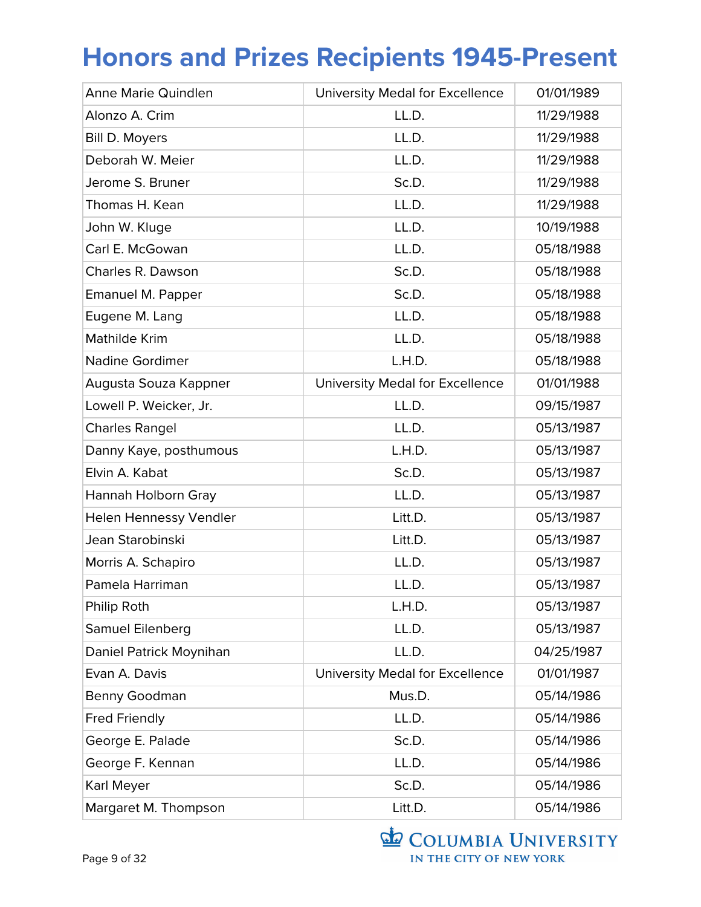| Anne Marie Quindlen     | University Medal for Excellence | 01/01/1989 |
|-------------------------|---------------------------------|------------|
| Alonzo A. Crim          | LL.D.                           | 11/29/1988 |
| Bill D. Moyers          | LL.D.                           | 11/29/1988 |
| Deborah W. Meier        | LL.D.                           | 11/29/1988 |
| Jerome S. Bruner        | Sc.D.                           | 11/29/1988 |
| Thomas H. Kean          | LL.D.                           | 11/29/1988 |
| John W. Kluge           | LL.D.                           | 10/19/1988 |
| Carl E. McGowan         | LL.D.                           | 05/18/1988 |
| Charles R. Dawson       | Sc.D.                           | 05/18/1988 |
| Emanuel M. Papper       | Sc.D.                           | 05/18/1988 |
| Eugene M. Lang          | LL.D.                           | 05/18/1988 |
| Mathilde Krim           | LL.D.                           | 05/18/1988 |
| <b>Nadine Gordimer</b>  | L.H.D.                          | 05/18/1988 |
| Augusta Souza Kappner   | University Medal for Excellence | 01/01/1988 |
| Lowell P. Weicker, Jr.  | LL.D.                           | 09/15/1987 |
| <b>Charles Rangel</b>   | LL.D.                           | 05/13/1987 |
| Danny Kaye, posthumous  | L.H.D.                          | 05/13/1987 |
| Elvin A. Kabat          | Sc.D.                           | 05/13/1987 |
| Hannah Holborn Gray     | LL.D.                           | 05/13/1987 |
| Helen Hennessy Vendler  | Litt.D.                         | 05/13/1987 |
| Jean Starobinski        | Litt.D.                         | 05/13/1987 |
| Morris A. Schapiro      | LL.D.                           | 05/13/1987 |
| Pamela Harriman         | LL.D.                           | 05/13/1987 |
| Philip Roth             | L.H.D.                          | 05/13/1987 |
| Samuel Eilenberg        | LL.D.                           | 05/13/1987 |
| Daniel Patrick Moynihan | LL.D.                           | 04/25/1987 |
| Evan A. Davis           | University Medal for Excellence | 01/01/1987 |
| Benny Goodman           | Mus.D.                          | 05/14/1986 |
| <b>Fred Friendly</b>    | LL.D.                           | 05/14/1986 |
| George E. Palade        | Sc.D.                           | 05/14/1986 |
| George F. Kennan        | LL.D.                           | 05/14/1986 |
| Karl Meyer              | Sc.D.                           | 05/14/1986 |
| Margaret M. Thompson    | Litt.D.                         | 05/14/1986 |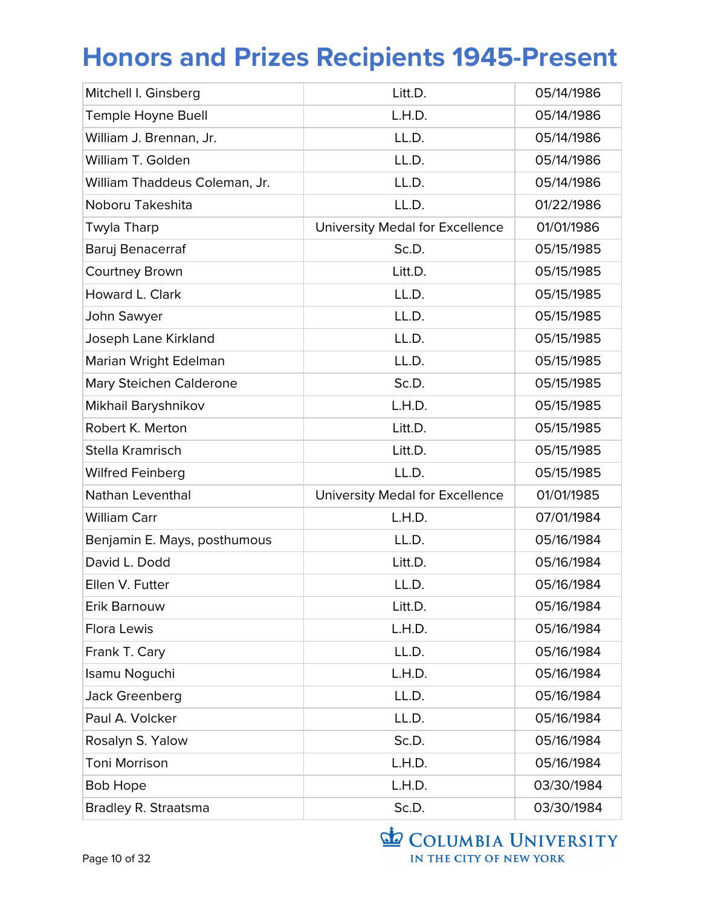| Mitchell I. Ginsberg          | Litt.D.                         | 05/14/1986 |
|-------------------------------|---------------------------------|------------|
| Temple Hoyne Buell            | L.H.D.                          | 05/14/1986 |
| William J. Brennan, Jr.       | LL.D.                           | 05/14/1986 |
| William T. Golden             | LL.D.                           | 05/14/1986 |
| William Thaddeus Coleman, Jr. | LL.D.                           | 05/14/1986 |
| Noboru Takeshita              | LL.D.                           | 01/22/1986 |
| Twyla Tharp                   | University Medal for Excellence | 01/01/1986 |
| Baruj Benacerraf              | Sc.D.                           | 05/15/1985 |
| <b>Courtney Brown</b>         | Litt.D.                         | 05/15/1985 |
| Howard L. Clark               | LL.D.                           | 05/15/1985 |
| John Sawyer                   | LL.D.                           | 05/15/1985 |
| Joseph Lane Kirkland          | LL.D.                           | 05/15/1985 |
| Marian Wright Edelman         | LL.D.                           | 05/15/1985 |
| Mary Steichen Calderone       | Sc.D.                           | 05/15/1985 |
| Mikhail Baryshnikov           | L.H.D.                          | 05/15/1985 |
| Robert K. Merton              | Litt.D.                         | 05/15/1985 |
| Stella Kramrisch              |                                 | 05/15/1985 |
|                               | Litt.D.                         |            |
| <b>Wilfred Feinberg</b>       | LL.D.                           | 05/15/1985 |
| Nathan Leventhal              | University Medal for Excellence | 01/01/1985 |
| <b>William Carr</b>           | L.H.D.                          | 07/01/1984 |
| Benjamin E. Mays, posthumous  | LL.D.                           | 05/16/1984 |
| David L. Dodd                 | Litt.D.                         | 05/16/1984 |
| Ellen V. Futter               | LL.D.                           | 05/16/1984 |
| Erik Barnouw                  | Litt.D.                         | 05/16/1984 |
| Flora Lewis                   | L.H.D.                          | 05/16/1984 |
| Frank T. Cary                 | LL.D.                           | 05/16/1984 |
| Isamu Noguchi                 | L.H.D.                          | 05/16/1984 |
| Jack Greenberg                | LL.D.                           | 05/16/1984 |
| Paul A. Volcker               | LL.D.                           | 05/16/1984 |
| Rosalyn S. Yalow              | Sc.D.                           | 05/16/1984 |
| <b>Toni Morrison</b>          | L.H.D.                          | 05/16/1984 |
| <b>Bob Hope</b>               | L.H.D.                          | 03/30/1984 |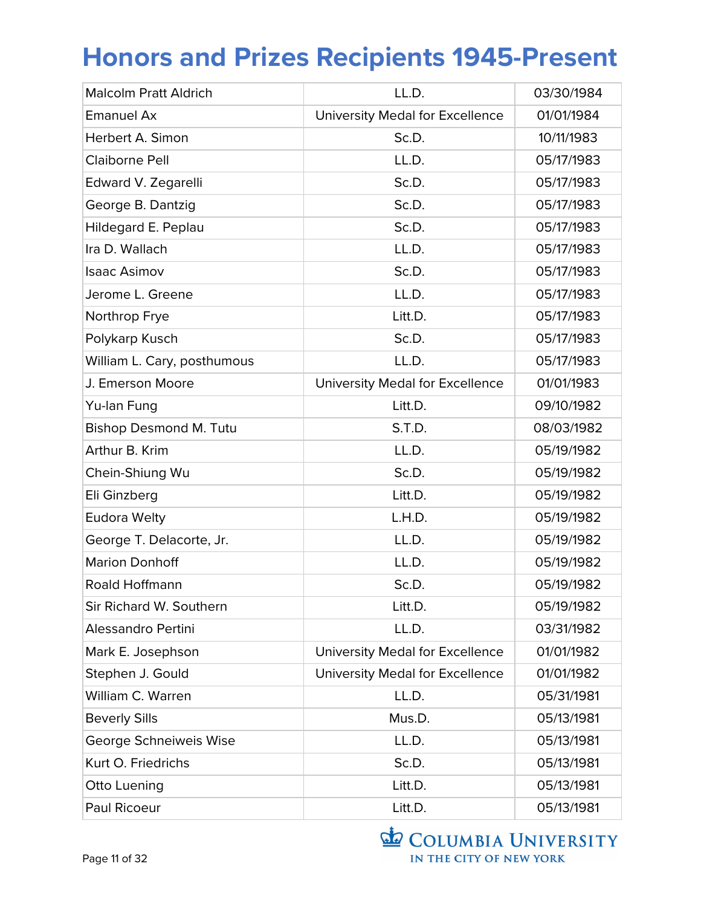| <b>Malcolm Pratt Aldrich</b>  | LL.D.                           | 03/30/1984 |
|-------------------------------|---------------------------------|------------|
| <b>Emanuel Ax</b>             | University Medal for Excellence | 01/01/1984 |
| Herbert A. Simon              | Sc.D.                           | 10/11/1983 |
| Claiborne Pell                | LL.D.                           | 05/17/1983 |
| Edward V. Zegarelli           | Sc.D.                           | 05/17/1983 |
| George B. Dantzig             | Sc.D.                           | 05/17/1983 |
| Hildegard E. Peplau           | Sc.D.                           | 05/17/1983 |
| Ira D. Wallach                | LL.D.                           | 05/17/1983 |
| <b>Isaac Asimov</b>           | Sc.D.                           | 05/17/1983 |
| Jerome L. Greene              | LL.D.                           | 05/17/1983 |
| Northrop Frye                 | Litt.D.                         | 05/17/1983 |
| Polykarp Kusch                | Sc.D.                           | 05/17/1983 |
| William L. Cary, posthumous   | LL.D.                           | 05/17/1983 |
| J. Emerson Moore              | University Medal for Excellence | 01/01/1983 |
| Yu-lan Fung                   | Litt.D.                         | 09/10/1982 |
| <b>Bishop Desmond M. Tutu</b> | S.T.D.                          | 08/03/1982 |
| Arthur B. Krim                | LL.D.                           | 05/19/1982 |
| Chein-Shiung Wu               | Sc.D.                           | 05/19/1982 |
| Eli Ginzberg                  | Litt.D.                         | 05/19/1982 |
| <b>Eudora Welty</b>           | L.H.D.                          | 05/19/1982 |
| George T. Delacorte, Jr.      | LL.D.                           | 05/19/1982 |
| <b>Marion Donhoff</b>         | LL.D.                           | 05/19/1982 |
| Roald Hoffmann                | Sc.D.                           | 05/19/1982 |
| Sir Richard W. Southern       | Litt.D.                         | 05/19/1982 |
| Alessandro Pertini            | LL.D.                           | 03/31/1982 |
| Mark E. Josephson             | University Medal for Excellence | 01/01/1982 |
| Stephen J. Gould              | University Medal for Excellence | 01/01/1982 |
| William C. Warren             | LL.D.                           | 05/31/1981 |
| <b>Beverly Sills</b>          | Mus.D.                          | 05/13/1981 |
| George Schneiweis Wise        | LL.D.                           | 05/13/1981 |
| Kurt O. Friedrichs            | Sc.D.                           | 05/13/1981 |
| Otto Luening                  | Litt.D.                         | 05/13/1981 |
| Paul Ricoeur                  | Litt.D.                         | 05/13/1981 |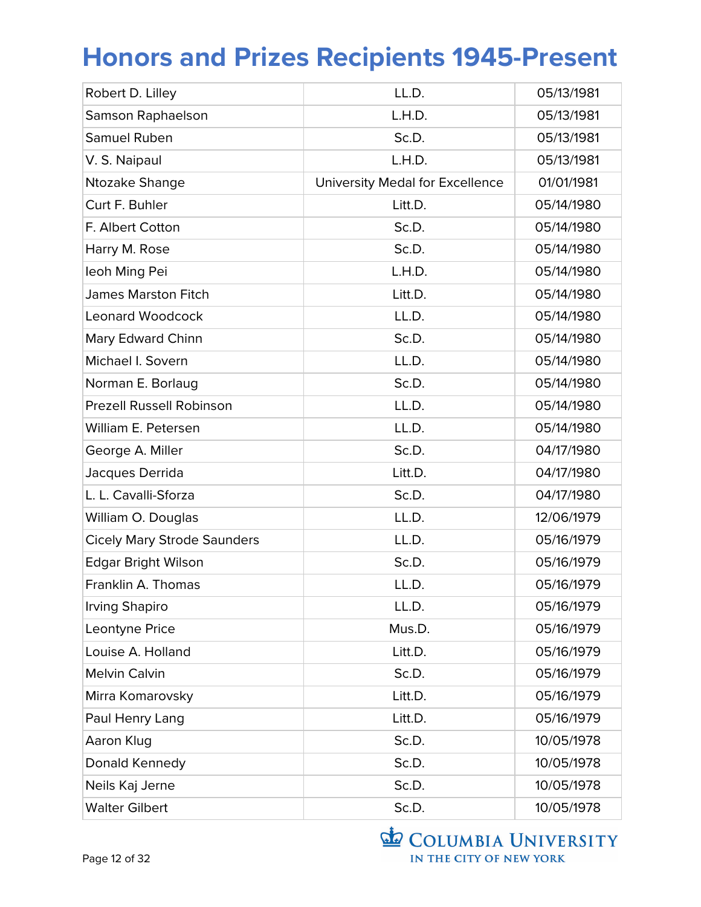| Robert D. Lilley                   | LL.D.                           | 05/13/1981 |
|------------------------------------|---------------------------------|------------|
| Samson Raphaelson                  | L.H.D.                          | 05/13/1981 |
| Samuel Ruben                       | Sc.D.                           | 05/13/1981 |
| V. S. Naipaul                      | L.H.D.                          | 05/13/1981 |
| Ntozake Shange                     | University Medal for Excellence | 01/01/1981 |
| Curt F. Buhler                     | Litt.D.                         | 05/14/1980 |
| F. Albert Cotton                   | Sc.D.                           | 05/14/1980 |
| Harry M. Rose                      | Sc.D.                           | 05/14/1980 |
| leoh Ming Pei                      | L.H.D.                          | 05/14/1980 |
| <b>James Marston Fitch</b>         | Litt.D.                         | 05/14/1980 |
| <b>Leonard Woodcock</b>            | LL.D.                           | 05/14/1980 |
| Mary Edward Chinn                  | Sc.D.                           | 05/14/1980 |
| Michael I. Sovern                  | LL.D.                           | 05/14/1980 |
| Norman E. Borlaug                  | Sc.D.                           | 05/14/1980 |
| <b>Prezell Russell Robinson</b>    | LL.D.                           | 05/14/1980 |
| William E. Petersen                | LL.D.                           | 05/14/1980 |
| George A. Miller                   | Sc.D.                           | 04/17/1980 |
| Jacques Derrida                    | Litt.D.                         | 04/17/1980 |
| L. L. Cavalli-Sforza               | Sc.D.                           | 04/17/1980 |
| William O. Douglas                 | LL.D.                           | 12/06/1979 |
| <b>Cicely Mary Strode Saunders</b> | LL.D.                           | 05/16/1979 |
| <b>Edgar Bright Wilson</b>         | Sc.D.                           | 05/16/1979 |
| Franklin A. Thomas                 | LL.D.                           | 05/16/1979 |
| <b>Irving Shapiro</b>              | LL.D.                           | 05/16/1979 |
| Leontyne Price                     | Mus.D.                          | 05/16/1979 |
| Louise A. Holland                  | Litt.D.                         | 05/16/1979 |
| <b>Melvin Calvin</b>               | Sc.D.                           | 05/16/1979 |
| Mirra Komarovsky                   | Litt.D.                         | 05/16/1979 |
| Paul Henry Lang                    | Litt.D.                         | 05/16/1979 |
| Aaron Klug                         | Sc.D.                           | 10/05/1978 |
| Donald Kennedy                     | Sc.D.                           | 10/05/1978 |
| Neils Kaj Jerne                    | Sc.D.                           | 10/05/1978 |
| <b>Walter Gilbert</b>              | Sc.D.                           | 10/05/1978 |

COLUMBIA UNIVERSITY IN THE CITY OF NEW YORK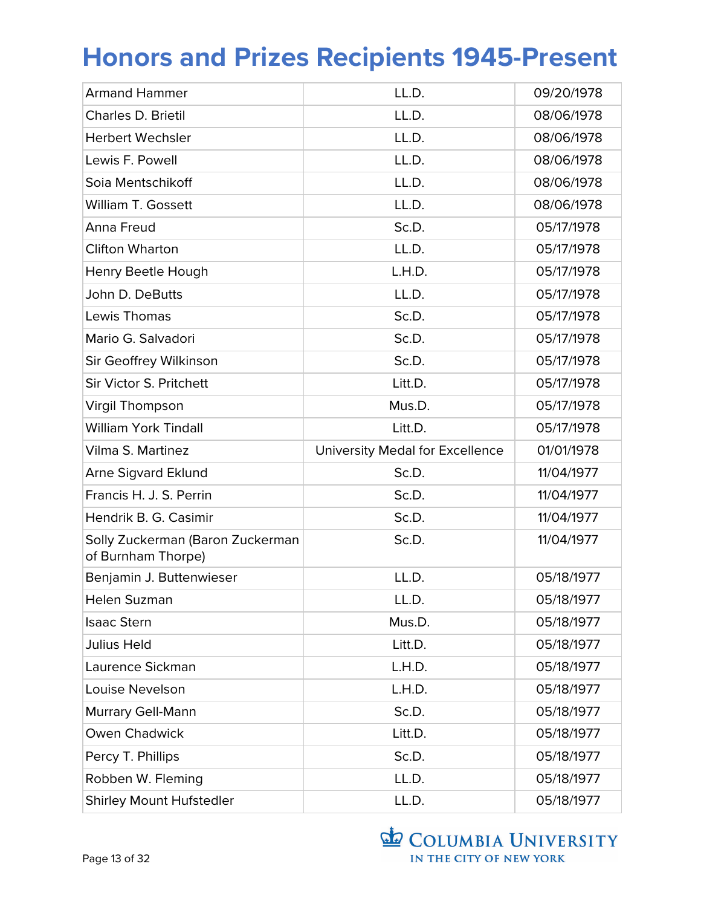| <b>Armand Hammer</b>                                   | LL.D.                           | 09/20/1978 |
|--------------------------------------------------------|---------------------------------|------------|
| Charles D. Brietil                                     | LL.D.                           | 08/06/1978 |
| <b>Herbert Wechsler</b>                                | LL.D.                           | 08/06/1978 |
| Lewis F. Powell                                        | LL.D.                           | 08/06/1978 |
| Soia Mentschikoff                                      | LL.D.                           | 08/06/1978 |
| William T. Gossett                                     | LL.D.                           | 08/06/1978 |
| Anna Freud                                             | Sc.D.                           | 05/17/1978 |
| <b>Clifton Wharton</b>                                 | LL.D.                           | 05/17/1978 |
| Henry Beetle Hough                                     | L.H.D.                          | 05/17/1978 |
| John D. DeButts                                        | LL.D.                           | 05/17/1978 |
| Lewis Thomas                                           | Sc.D.                           | 05/17/1978 |
| Mario G. Salvadori                                     | Sc.D.                           | 05/17/1978 |
| Sir Geoffrey Wilkinson                                 | Sc.D.                           | 05/17/1978 |
| Sir Victor S. Pritchett                                | Litt.D.                         | 05/17/1978 |
| <b>Virgil Thompson</b>                                 | Mus.D.                          | 05/17/1978 |
| <b>William York Tindall</b>                            | Litt.D.                         | 05/17/1978 |
| Vilma S. Martinez                                      | University Medal for Excellence | 01/01/1978 |
| <b>Arne Sigvard Eklund</b>                             | Sc.D.                           | 11/04/1977 |
| Francis H. J. S. Perrin                                | Sc.D.                           | 11/04/1977 |
| Hendrik B. G. Casimir                                  | Sc.D.                           | 11/04/1977 |
| Solly Zuckerman (Baron Zuckerman<br>of Burnham Thorpe) | Sc.D.                           | 11/04/1977 |
|                                                        |                                 |            |
| Benjamin J. Buttenwieser                               | LL.D.                           | 05/18/1977 |
| Helen Suzman                                           | LL.D.                           | 05/18/1977 |
| <b>Isaac Stern</b>                                     | Mus.D.                          | 05/18/1977 |
| <b>Julius Held</b>                                     | Litt.D.                         | 05/18/1977 |
| Laurence Sickman                                       | L.H.D.                          | 05/18/1977 |
| Louise Nevelson                                        | L.H.D.                          | 05/18/1977 |
| Murrary Gell-Mann                                      | Sc.D.                           | 05/18/1977 |
| Owen Chadwick                                          | Litt.D.                         | 05/18/1977 |
| Percy T. Phillips                                      | Sc.D.                           | 05/18/1977 |
| Robben W. Fleming                                      | LL.D.                           | 05/18/1977 |

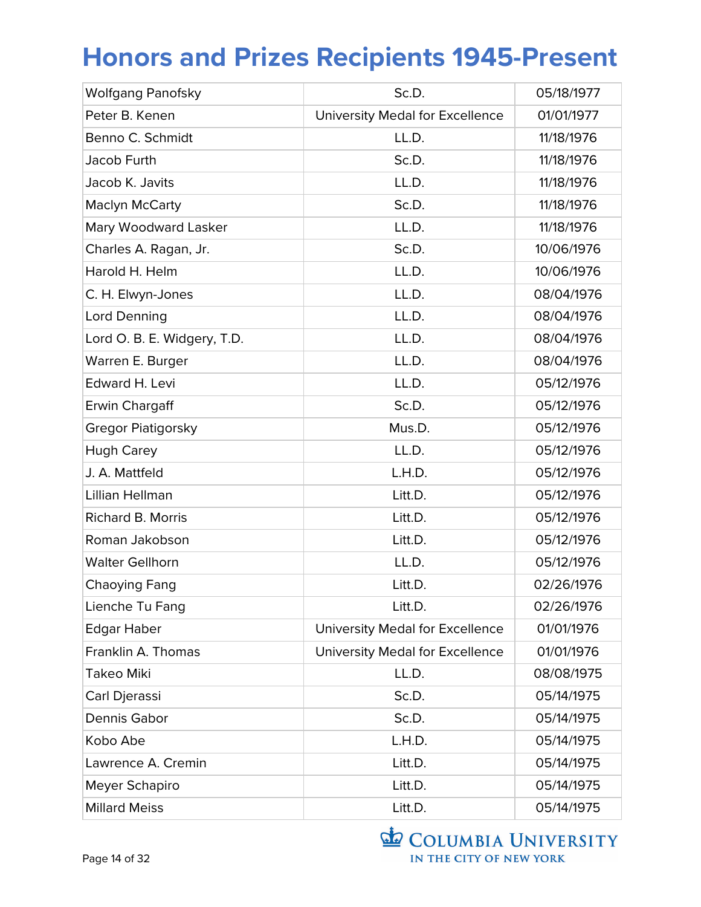| <b>Wolfgang Panofsky</b>    | Sc.D.                           | 05/18/1977 |
|-----------------------------|---------------------------------|------------|
| Peter B. Kenen              | University Medal for Excellence | 01/01/1977 |
| Benno C. Schmidt            | LL.D.                           | 11/18/1976 |
| Jacob Furth                 | Sc.D.                           | 11/18/1976 |
| Jacob K. Javits             | LL.D.                           | 11/18/1976 |
| Maclyn McCarty              | Sc.D.                           | 11/18/1976 |
| Mary Woodward Lasker        | LL.D.                           | 11/18/1976 |
| Charles A. Ragan, Jr.       | Sc.D.                           | 10/06/1976 |
| Harold H. Helm              | LL.D.                           | 10/06/1976 |
| C. H. Elwyn-Jones           | LL.D.                           | 08/04/1976 |
| Lord Denning                | LL.D.                           | 08/04/1976 |
| Lord O. B. E. Widgery, T.D. | LL.D.                           | 08/04/1976 |
| Warren E. Burger            | LL.D.                           | 08/04/1976 |
| Edward H. Levi              | LL.D.                           | 05/12/1976 |
| Erwin Chargaff              | Sc.D.                           | 05/12/1976 |
| Gregor Piatigorsky          | Mus.D.                          | 05/12/1976 |
| <b>Hugh Carey</b>           | LL.D.                           | 05/12/1976 |
| J. A. Mattfeld              | L.H.D.                          | 05/12/1976 |
| Lillian Hellman             | Litt.D.                         | 05/12/1976 |
| <b>Richard B. Morris</b>    | Litt.D.                         | 05/12/1976 |
| Roman Jakobson              | Litt.D.                         | 05/12/1976 |
| <b>Walter Gellhorn</b>      | LL.D.                           | 05/12/1976 |
| Chaoying Fang               | Litt.D.                         | 02/26/1976 |
| Lienche Tu Fang             | Litt.D.                         | 02/26/1976 |
| <b>Edgar Haber</b>          | University Medal for Excellence | 01/01/1976 |
| Franklin A. Thomas          | University Medal for Excellence | 01/01/1976 |
| Takeo Miki                  | LL.D.                           | 08/08/1975 |
| Carl Djerassi               | Sc.D.                           | 05/14/1975 |
| Dennis Gabor                | Sc.D.                           | 05/14/1975 |
| Kobo Abe                    | L.H.D.                          | 05/14/1975 |
| Lawrence A. Cremin          | Litt.D.                         | 05/14/1975 |
| Meyer Schapiro              | Litt.D.                         | 05/14/1975 |
| <b>Millard Meiss</b>        | Litt.D.                         | 05/14/1975 |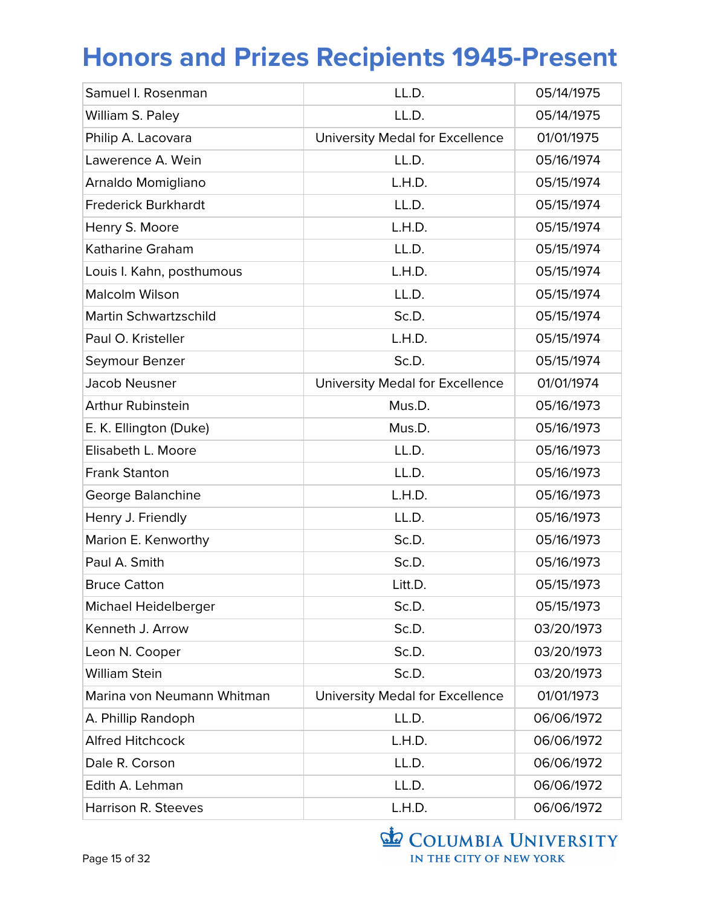| Samuel I. Rosenman         | LL.D.                           | 05/14/1975 |
|----------------------------|---------------------------------|------------|
| William S. Paley           | LL.D.                           | 05/14/1975 |
| Philip A. Lacovara         | University Medal for Excellence | 01/01/1975 |
| Lawerence A. Wein          | LL.D.                           | 05/16/1974 |
| Arnaldo Momigliano         | L.H.D.                          | 05/15/1974 |
| <b>Frederick Burkhardt</b> | LL.D.                           | 05/15/1974 |
| Henry S. Moore             | L.H.D.                          | 05/15/1974 |
| Katharine Graham           | LL.D.                           | 05/15/1974 |
| Louis I. Kahn, posthumous  | L.H.D.                          | 05/15/1974 |
| <b>Malcolm Wilson</b>      | LL.D.                           | 05/15/1974 |
| Martin Schwartzschild      | Sc.D.                           | 05/15/1974 |
| Paul O. Kristeller         | L.H.D.                          | 05/15/1974 |
| Seymour Benzer             | Sc.D.                           | 05/15/1974 |
| <b>Jacob Neusner</b>       | University Medal for Excellence | 01/01/1974 |
| <b>Arthur Rubinstein</b>   | Mus.D.                          | 05/16/1973 |
| E. K. Ellington (Duke)     | Mus.D.                          | 05/16/1973 |
| Elisabeth L. Moore         | LL.D.                           | 05/16/1973 |
| <b>Frank Stanton</b>       | LL.D.                           | 05/16/1973 |
| George Balanchine          | L.H.D.                          | 05/16/1973 |
| Henry J. Friendly          | LL.D.                           | 05/16/1973 |
| Marion E. Kenworthy        | Sc.D.                           | 05/16/1973 |
| Paul A. Smith              | Sc.D.                           | 05/16/1973 |
| <b>Bruce Catton</b>        | Litt.D.                         | 05/15/1973 |
| Michael Heidelberger       | Sc.D.                           | 05/15/1973 |
| Kenneth J. Arrow           | Sc.D.                           | 03/20/1973 |
| Leon N. Cooper             | Sc.D.                           | 03/20/1973 |
| <b>William Stein</b>       | Sc.D.                           | 03/20/1973 |
| Marina von Neumann Whitman | University Medal for Excellence | 01/01/1973 |
| A. Phillip Randoph         | LL.D.                           | 06/06/1972 |
| <b>Alfred Hitchcock</b>    | L.H.D.                          | 06/06/1972 |
| Dale R. Corson             | LL.D.                           | 06/06/1972 |
| Edith A. Lehman            | LL.D.                           | 06/06/1972 |
| Harrison R. Steeves        | L.H.D.                          | 06/06/1972 |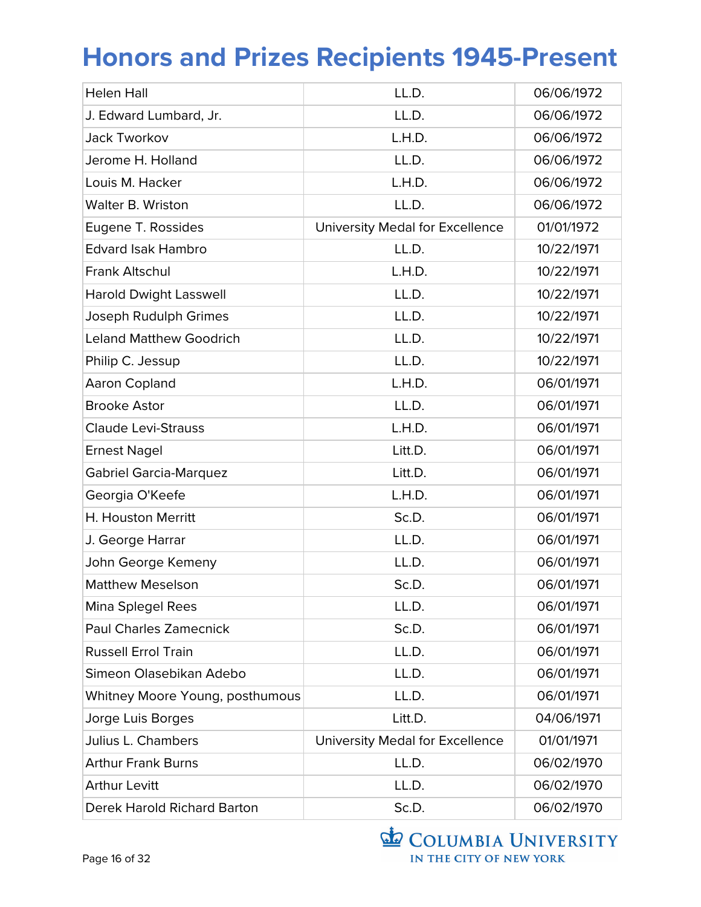| <b>Helen Hall</b>                  | LL.D.                           | 06/06/1972 |
|------------------------------------|---------------------------------|------------|
| J. Edward Lumbard, Jr.             | LL.D.                           | 06/06/1972 |
| Jack Tworkov                       | L.H.D.                          | 06/06/1972 |
| Jerome H. Holland                  | LL.D.                           | 06/06/1972 |
| Louis M. Hacker                    | L.H.D.                          | 06/06/1972 |
| Walter B. Wriston                  | LL.D.                           | 06/06/1972 |
| Eugene T. Rossides                 | University Medal for Excellence | 01/01/1972 |
| <b>Edvard Isak Hambro</b>          | LL.D.                           | 10/22/1971 |
| Frank Altschul                     | L.H.D.                          | 10/22/1971 |
| <b>Harold Dwight Lasswell</b>      | LL.D.                           | 10/22/1971 |
| Joseph Rudulph Grimes              | LL.D.                           | 10/22/1971 |
| <b>Leland Matthew Goodrich</b>     | LL.D.                           | 10/22/1971 |
| Philip C. Jessup                   | LL.D.                           | 10/22/1971 |
| Aaron Copland                      | L.H.D.                          | 06/01/1971 |
| <b>Brooke Astor</b>                | LL.D.                           | 06/01/1971 |
| <b>Claude Levi-Strauss</b>         | L.H.D.                          | 06/01/1971 |
| <b>Ernest Nagel</b>                | Litt.D.                         | 06/01/1971 |
| <b>Gabriel Garcia-Marquez</b>      | Litt.D.                         | 06/01/1971 |
| Georgia O'Keefe                    | L.H.D.                          | 06/01/1971 |
| H. Houston Merritt                 | Sc.D.                           | 06/01/1971 |
| J. George Harrar                   | LL.D.                           | 06/01/1971 |
| John George Kemeny                 | LL.D.                           | 06/01/1971 |
| <b>Matthew Meselson</b>            | Sc.D.                           | 06/01/1971 |
| Mina Splegel Rees                  | LL.D.                           | 06/01/1971 |
| <b>Paul Charles Zamecnick</b>      | Sc.D.                           | 06/01/1971 |
| <b>Russell Errol Train</b>         | LL.D.                           | 06/01/1971 |
| Simeon Olasebikan Adebo            | LL.D.                           | 06/01/1971 |
| Whitney Moore Young, posthumous    | LL.D.                           | 06/01/1971 |
| Jorge Luis Borges                  | Litt.D.                         | 04/06/1971 |
| Julius L. Chambers                 | University Medal for Excellence | 01/01/1971 |
| <b>Arthur Frank Burns</b>          | LL.D.                           | 06/02/1970 |
| <b>Arthur Levitt</b>               | LL.D.                           | 06/02/1970 |
| <b>Derek Harold Richard Barton</b> | Sc.D.                           | 06/02/1970 |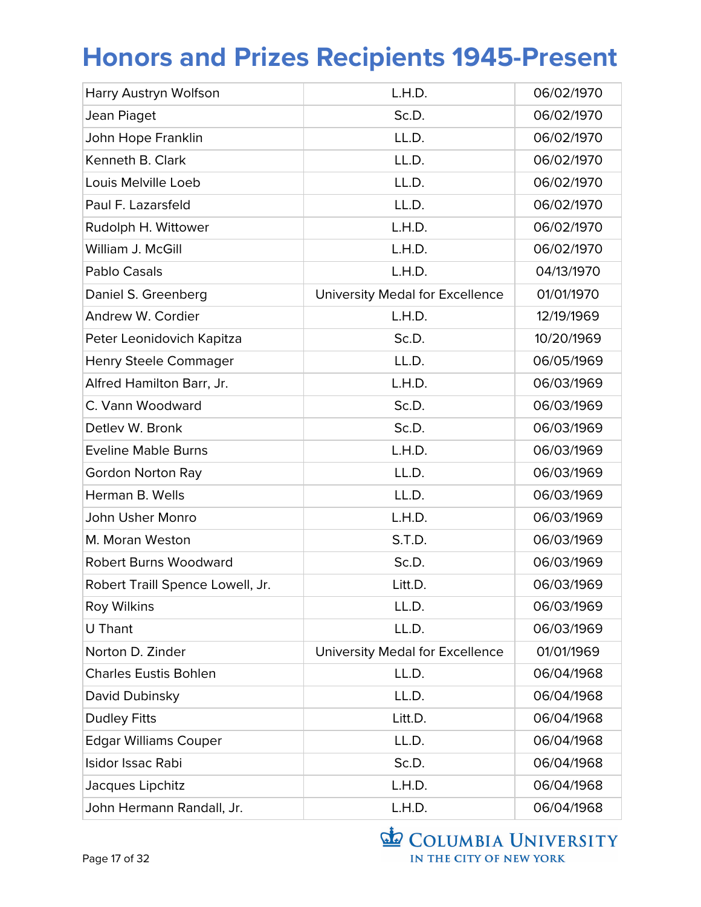| Harry Austryn Wolfson            | L.H.D.                          | 06/02/1970 |
|----------------------------------|---------------------------------|------------|
| Jean Piaget                      | Sc.D.                           | 06/02/1970 |
| John Hope Franklin               | LL.D.                           | 06/02/1970 |
| Kenneth B. Clark                 | LL.D.                           | 06/02/1970 |
| Louis Melville Loeb              | LL.D.                           | 06/02/1970 |
| Paul F. Lazarsfeld               | LL.D.                           | 06/02/1970 |
| Rudolph H. Wittower              | L.H.D.                          | 06/02/1970 |
| William J. McGill                | L.H.D.                          | 06/02/1970 |
| Pablo Casals                     | L.H.D.                          | 04/13/1970 |
| Daniel S. Greenberg              | University Medal for Excellence | 01/01/1970 |
| Andrew W. Cordier                | L.H.D.                          | 12/19/1969 |
| Peter Leonidovich Kapitza        | Sc.D.                           | 10/20/1969 |
| <b>Henry Steele Commager</b>     | LL.D.                           | 06/05/1969 |
| Alfred Hamilton Barr, Jr.        | L.H.D.                          | 06/03/1969 |
| C. Vann Woodward                 | Sc.D.                           | 06/03/1969 |
| Detlev W. Bronk                  | Sc.D.                           | 06/03/1969 |
| <b>Eveline Mable Burns</b>       | L.H.D.                          | 06/03/1969 |
| <b>Gordon Norton Ray</b>         | LL.D.                           | 06/03/1969 |
| Herman B. Wells                  | LL.D.                           | 06/03/1969 |
| John Usher Monro                 | L.H.D.                          | 06/03/1969 |
| M. Moran Weston                  | S.T.D.                          | 06/03/1969 |
| <b>Robert Burns Woodward</b>     | Sc.D.                           | 06/03/1969 |
| Robert Traill Spence Lowell, Jr. | Litt.D.                         | 06/03/1969 |
| <b>Roy Wilkins</b>               | LL.D.                           | 06/03/1969 |
| <b>U</b> Thant                   | LL.D.                           | 06/03/1969 |
| Norton D. Zinder                 | University Medal for Excellence | 01/01/1969 |
| <b>Charles Eustis Bohlen</b>     | LL.D.                           | 06/04/1968 |
| David Dubinsky                   | LL.D.                           | 06/04/1968 |
| <b>Dudley Fitts</b>              | Litt.D.                         | 06/04/1968 |
| <b>Edgar Williams Couper</b>     | LL.D.                           | 06/04/1968 |
| Isidor Issac Rabi                | Sc.D.                           | 06/04/1968 |
| Jacques Lipchitz                 | L.H.D.                          | 06/04/1968 |
| John Hermann Randall, Jr.        | L.H.D.                          | 06/04/1968 |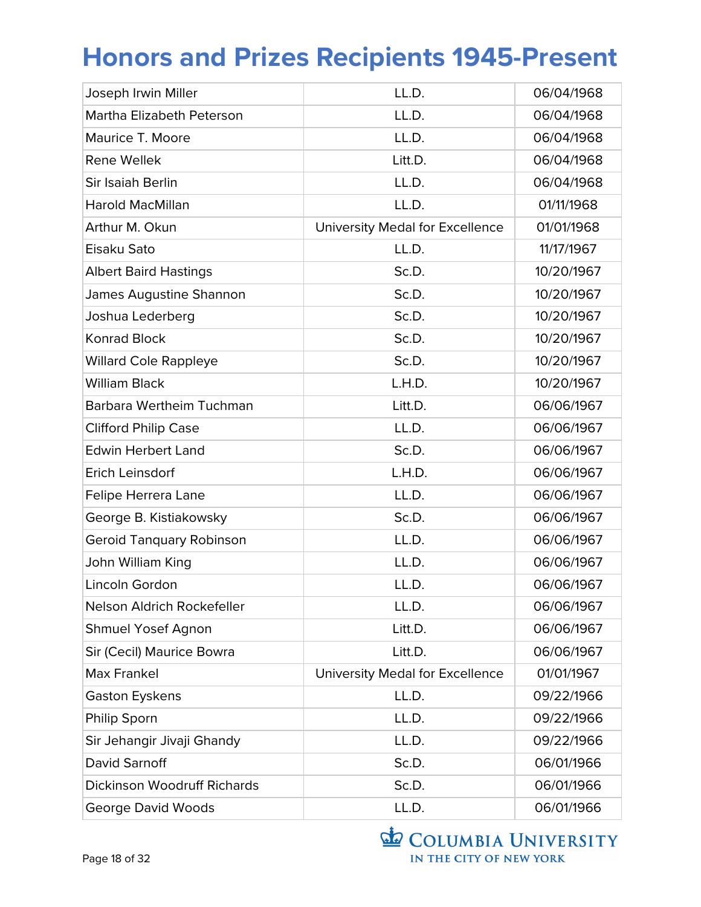| Joseph Irwin Miller                | LL.D.                           | 06/04/1968 |
|------------------------------------|---------------------------------|------------|
| Martha Elizabeth Peterson          | LL.D.                           | 06/04/1968 |
| Maurice T. Moore                   | LL.D.                           | 06/04/1968 |
| <b>Rene Wellek</b>                 | Litt.D.                         | 06/04/1968 |
| Sir Isaiah Berlin                  | LL.D.                           | 06/04/1968 |
| <b>Harold MacMillan</b>            | LL.D.                           | 01/11/1968 |
| Arthur M. Okun                     | University Medal for Excellence | 01/01/1968 |
| Eisaku Sato                        | LL.D.                           | 11/17/1967 |
| <b>Albert Baird Hastings</b>       | Sc.D.                           | 10/20/1967 |
| James Augustine Shannon            | Sc.D.                           | 10/20/1967 |
| Joshua Lederberg                   | Sc.D.                           | 10/20/1967 |
| <b>Konrad Block</b>                | Sc.D.                           | 10/20/1967 |
| <b>Willard Cole Rappleye</b>       | Sc.D.                           | 10/20/1967 |
| <b>William Black</b>               | L.H.D.                          | 10/20/1967 |
| Barbara Wertheim Tuchman           | Litt.D.                         | 06/06/1967 |
| <b>Clifford Philip Case</b>        | LL.D.                           | 06/06/1967 |
| <b>Edwin Herbert Land</b>          | Sc.D.                           | 06/06/1967 |
| Erich Leinsdorf                    | L.H.D.                          | 06/06/1967 |
| Felipe Herrera Lane                | LL.D.                           | 06/06/1967 |
| George B. Kistiakowsky             | Sc.D.                           | 06/06/1967 |
| <b>Geroid Tanquary Robinson</b>    | LL.D.                           | 06/06/1967 |
| John William King                  | LL.D.                           | 06/06/1967 |
| Lincoln Gordon                     | LL.D.                           | 06/06/1967 |
| Nelson Aldrich Rockefeller         | LL.D.                           | 06/06/1967 |
| Shmuel Yosef Agnon                 | Litt.D.                         | 06/06/1967 |
| Sir (Cecil) Maurice Bowra          | Litt.D.                         | 06/06/1967 |
| <b>Max Frankel</b>                 | University Medal for Excellence | 01/01/1967 |
| Gaston Eyskens                     | LL.D.                           | 09/22/1966 |
| Philip Sporn                       | LL.D.                           | 09/22/1966 |
| Sir Jehangir Jivaji Ghandy         | LL.D.                           | 09/22/1966 |
| David Sarnoff                      | Sc.D.                           | 06/01/1966 |
| <b>Dickinson Woodruff Richards</b> | Sc.D.                           | 06/01/1966 |
| George David Woods                 | LL.D.                           | 06/01/1966 |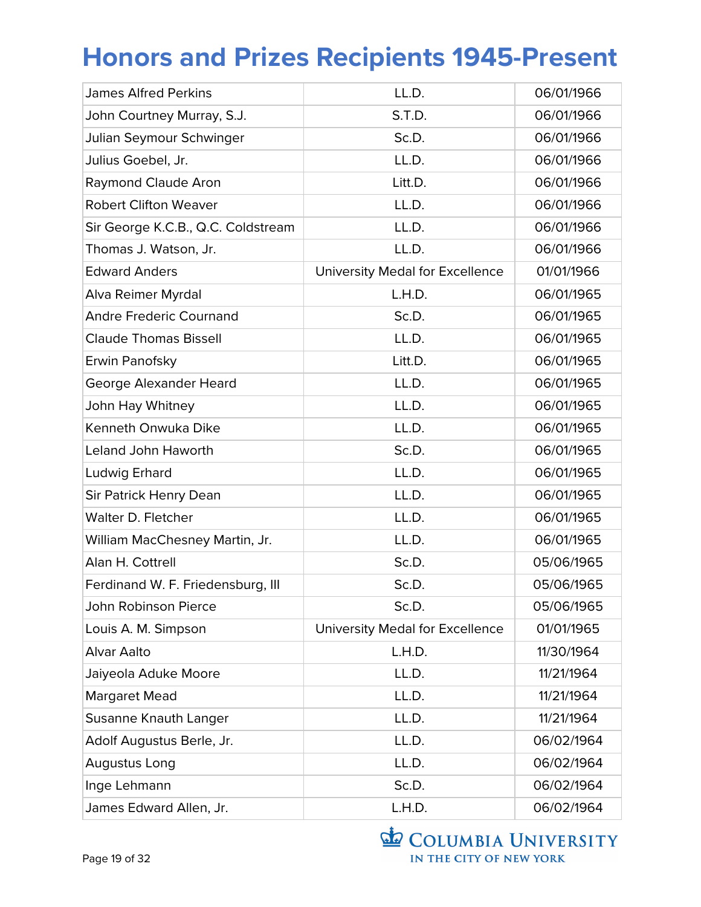| <b>James Alfred Perkins</b>        | LL.D.                           | 06/01/1966 |
|------------------------------------|---------------------------------|------------|
| John Courtney Murray, S.J.         | S.T.D.                          | 06/01/1966 |
| Julian Seymour Schwinger           | Sc.D.                           | 06/01/1966 |
| Julius Goebel, Jr.                 | LL.D.                           | 06/01/1966 |
| Raymond Claude Aron                | Litt.D.                         | 06/01/1966 |
| <b>Robert Clifton Weaver</b>       | LL.D.                           | 06/01/1966 |
| Sir George K.C.B., Q.C. Coldstream | LL.D.                           | 06/01/1966 |
| Thomas J. Watson, Jr.              | LL.D.                           | 06/01/1966 |
| <b>Edward Anders</b>               | University Medal for Excellence | 01/01/1966 |
| Alva Reimer Myrdal                 | L.H.D.                          | 06/01/1965 |
| <b>Andre Frederic Cournand</b>     | Sc.D.                           | 06/01/1965 |
| <b>Claude Thomas Bissell</b>       | LL.D.                           | 06/01/1965 |
| Erwin Panofsky                     | Litt.D.                         | 06/01/1965 |
| George Alexander Heard             | LL.D.                           | 06/01/1965 |
| John Hay Whitney                   | LL.D.                           | 06/01/1965 |
| Kenneth Onwuka Dike                | LL.D.                           | 06/01/1965 |
| <b>Leland John Haworth</b>         | Sc.D.                           | 06/01/1965 |
| Ludwig Erhard                      | LL.D.                           | 06/01/1965 |
| Sir Patrick Henry Dean             | LL.D.                           | 06/01/1965 |
| Walter D. Fletcher                 | LL.D.                           | 06/01/1965 |
| William MacChesney Martin, Jr.     | LL.D.                           | 06/01/1965 |
| Alan H. Cottrell                   | Sc.D.                           | 05/06/1965 |
| Ferdinand W. F. Friedensburg, III  | Sc.D.                           | 05/06/1965 |
| John Robinson Pierce               | Sc.D.                           | 05/06/1965 |
| Louis A. M. Simpson                | University Medal for Excellence | 01/01/1965 |
| <b>Alvar Aalto</b>                 | L.H.D.                          | 11/30/1964 |
| Jaiyeola Aduke Moore               | LL.D.                           | 11/21/1964 |
| <b>Margaret Mead</b>               | LL.D.                           | 11/21/1964 |
| Susanne Knauth Langer              | LL.D.                           | 11/21/1964 |
| Adolf Augustus Berle, Jr.          | LL.D.                           | 06/02/1964 |
| Augustus Long                      | LL.D.                           | 06/02/1964 |
| Inge Lehmann                       | Sc.D.                           | 06/02/1964 |
| James Edward Allen, Jr.            | L.H.D.                          | 06/02/1964 |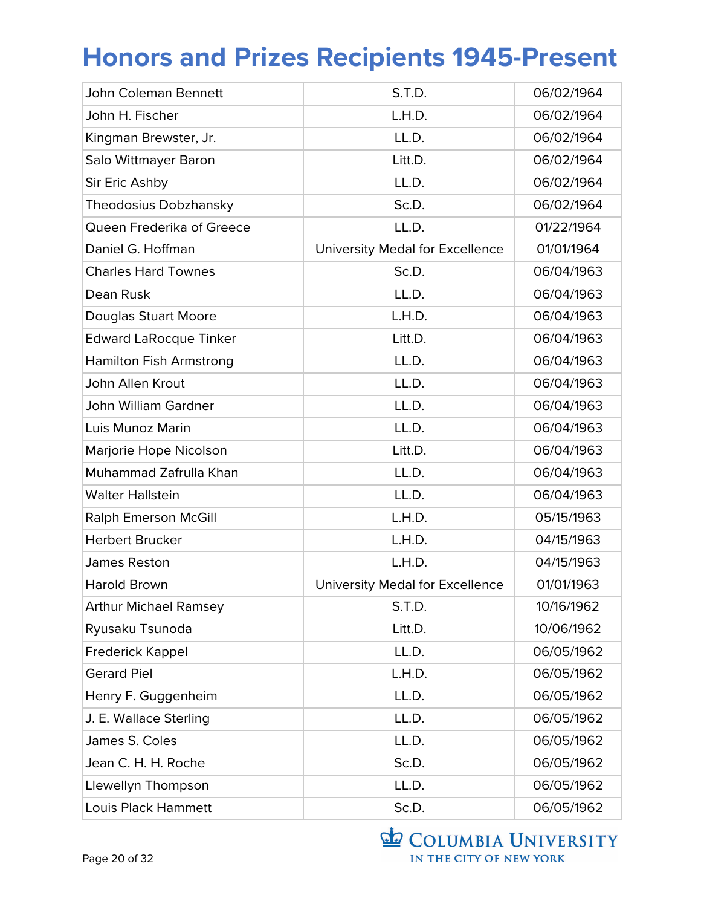| <b>John Coleman Bennett</b>    | S.T.D.                          | 06/02/1964 |
|--------------------------------|---------------------------------|------------|
| John H. Fischer                | L.H.D.                          | 06/02/1964 |
| Kingman Brewster, Jr.          | LL.D.                           | 06/02/1964 |
| Salo Wittmayer Baron           | Litt.D.                         | 06/02/1964 |
| Sir Eric Ashby                 | LL.D.                           | 06/02/1964 |
| Theodosius Dobzhansky          | Sc.D.                           | 06/02/1964 |
| Queen Frederika of Greece      | LL.D.                           | 01/22/1964 |
| Daniel G. Hoffman              | University Medal for Excellence | 01/01/1964 |
| <b>Charles Hard Townes</b>     | Sc.D.                           | 06/04/1963 |
| Dean Rusk                      | LL.D.                           | 06/04/1963 |
| <b>Douglas Stuart Moore</b>    | L.H.D.                          | 06/04/1963 |
| <b>Edward LaRocque Tinker</b>  | Litt.D.                         | 06/04/1963 |
| <b>Hamilton Fish Armstrong</b> | LL.D.                           | 06/04/1963 |
| John Allen Krout               | LL.D.                           | 06/04/1963 |
| John William Gardner           | LL.D.                           | 06/04/1963 |
| Luis Munoz Marin               | LL.D.                           | 06/04/1963 |
| Marjorie Hope Nicolson         | Litt.D.                         | 06/04/1963 |
| Muhammad Zafrulla Khan         | LL.D.                           | 06/04/1963 |
| <b>Walter Hallstein</b>        | LL.D.                           | 06/04/1963 |
| <b>Ralph Emerson McGill</b>    | L.H.D.                          | 05/15/1963 |
| <b>Herbert Brucker</b>         | L.H.D.                          | 04/15/1963 |
| James Reston                   | L.H.D.                          | 04/15/1963 |
| <b>Harold Brown</b>            | University Medal for Excellence | 01/01/1963 |
| <b>Arthur Michael Ramsey</b>   | S.T.D.                          | 10/16/1962 |
| Ryusaku Tsunoda                | Litt.D.                         | 10/06/1962 |
| <b>Frederick Kappel</b>        | LL.D.                           | 06/05/1962 |
| <b>Gerard Piel</b>             | L.H.D.                          | 06/05/1962 |
| Henry F. Guggenheim            | LL.D.                           | 06/05/1962 |
| J. E. Wallace Sterling         | LL.D.                           | 06/05/1962 |
| James S. Coles                 | LL.D.                           | 06/05/1962 |
| Jean C. H. H. Roche            | Sc.D.                           | 06/05/1962 |
| Llewellyn Thompson             | LL.D.                           | 06/05/1962 |
| Louis Plack Hammett            | Sc.D.                           | 06/05/1962 |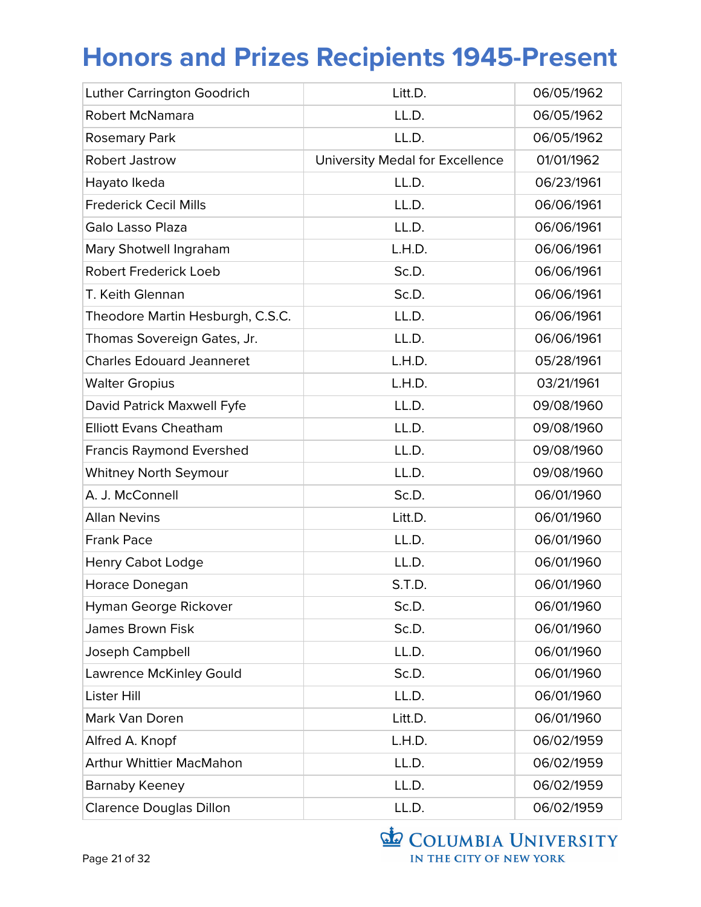| <b>Luther Carrington Goodrich</b> | Litt.D.                         | 06/05/1962 |
|-----------------------------------|---------------------------------|------------|
| <b>Robert McNamara</b>            | LL.D.                           | 06/05/1962 |
| <b>Rosemary Park</b>              | LL.D.                           | 06/05/1962 |
| <b>Robert Jastrow</b>             | University Medal for Excellence | 01/01/1962 |
| Hayato Ikeda                      | LL.D.                           | 06/23/1961 |
| <b>Frederick Cecil Mills</b>      | LL.D.                           | 06/06/1961 |
| Galo Lasso Plaza                  | LL.D.                           | 06/06/1961 |
| Mary Shotwell Ingraham            | L.H.D.                          | 06/06/1961 |
| <b>Robert Frederick Loeb</b>      | Sc.D.                           | 06/06/1961 |
| T. Keith Glennan                  | Sc.D.                           | 06/06/1961 |
| Theodore Martin Hesburgh, C.S.C.  | LL.D.                           | 06/06/1961 |
| Thomas Sovereign Gates, Jr.       | LL.D.                           | 06/06/1961 |
| <b>Charles Edouard Jeanneret</b>  | L.H.D.                          | 05/28/1961 |
| <b>Walter Gropius</b>             | L.H.D.                          | 03/21/1961 |
| David Patrick Maxwell Fyfe        | LL.D.                           | 09/08/1960 |
| <b>Elliott Evans Cheatham</b>     | LL.D.                           | 09/08/1960 |
| <b>Francis Raymond Evershed</b>   | LL.D.                           | 09/08/1960 |
| <b>Whitney North Seymour</b>      | LL.D.                           | 09/08/1960 |
| A. J. McConnell                   | Sc.D.                           | 06/01/1960 |
| <b>Allan Nevins</b>               | Litt.D.                         | 06/01/1960 |
| <b>Frank Pace</b>                 | LL.D.                           | 06/01/1960 |
| <b>Henry Cabot Lodge</b>          | LL.D.                           | 06/01/1960 |
| Horace Donegan                    | S.T.D.                          | 06/01/1960 |
| Hyman George Rickover             | Sc.D.                           | 06/01/1960 |
| <b>James Brown Fisk</b>           | Sc.D.                           | 06/01/1960 |
| Joseph Campbell                   | LL.D.                           | 06/01/1960 |
| <b>Lawrence McKinley Gould</b>    | Sc.D.                           | 06/01/1960 |
| <b>Lister Hill</b>                | LL.D.                           | 06/01/1960 |
| Mark Van Doren                    | Litt.D.                         | 06/01/1960 |
| Alfred A. Knopf                   | L.H.D.                          | 06/02/1959 |
| <b>Arthur Whittier MacMahon</b>   | LL.D.                           | 06/02/1959 |
| Barnaby Keeney                    | LL.D.                           | 06/02/1959 |
| <b>Clarence Douglas Dillon</b>    | LL.D.                           | 06/02/1959 |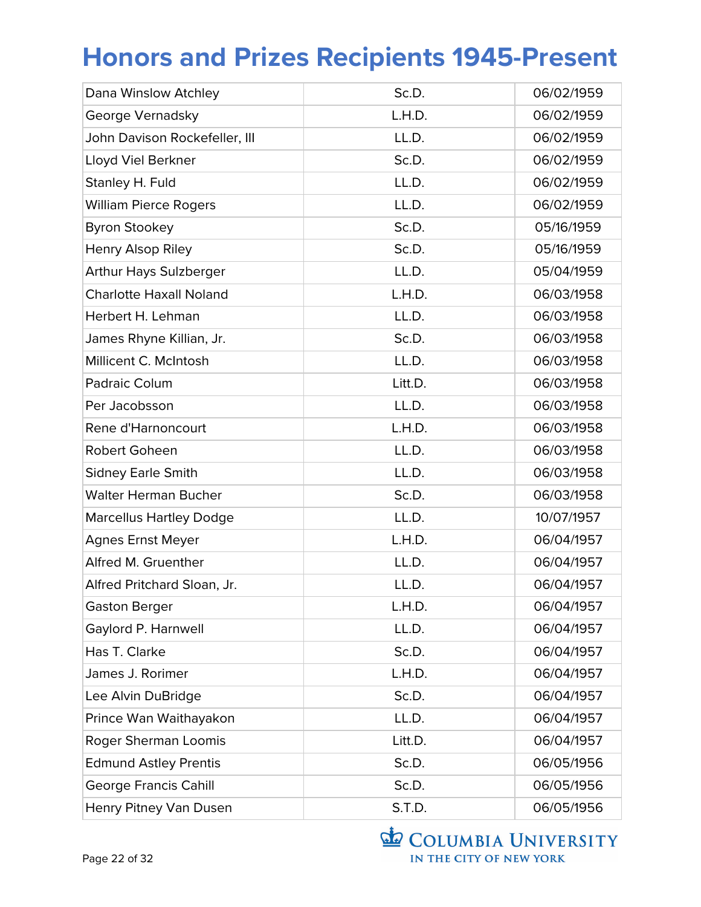| Dana Winslow Atchley           | Sc.D.   | 06/02/1959 |
|--------------------------------|---------|------------|
| George Vernadsky               | L.H.D.  | 06/02/1959 |
| John Davison Rockefeller, III  | LL.D.   | 06/02/1959 |
| Lloyd Viel Berkner             | Sc.D.   | 06/02/1959 |
| Stanley H. Fuld                | LL.D.   | 06/02/1959 |
| <b>William Pierce Rogers</b>   | LL.D.   | 06/02/1959 |
| <b>Byron Stookey</b>           | Sc.D.   | 05/16/1959 |
| Henry Alsop Riley              | Sc.D.   | 05/16/1959 |
| <b>Arthur Hays Sulzberger</b>  | LL.D.   | 05/04/1959 |
| <b>Charlotte Haxall Noland</b> | L.H.D.  | 06/03/1958 |
| Herbert H. Lehman              | LL.D.   | 06/03/1958 |
| James Rhyne Killian, Jr.       | Sc.D.   | 06/03/1958 |
| Millicent C. McIntosh          | LL.D.   | 06/03/1958 |
| Padraic Colum                  | Litt.D. | 06/03/1958 |
| Per Jacobsson                  | LL.D.   | 06/03/1958 |
| Rene d'Harnoncourt             | L.H.D.  | 06/03/1958 |
| Robert Goheen                  | LL.D.   | 06/03/1958 |
| <b>Sidney Earle Smith</b>      | LL.D.   | 06/03/1958 |
| <b>Walter Herman Bucher</b>    | Sc.D.   | 06/03/1958 |
| <b>Marcellus Hartley Dodge</b> | LL.D.   | 10/07/1957 |
| <b>Agnes Ernst Meyer</b>       | L.H.D.  | 06/04/1957 |
| Alfred M. Gruenther            | LL.D.   | 06/04/1957 |
| Alfred Pritchard Sloan, Jr.    | LL.D.   | 06/04/1957 |
| <b>Gaston Berger</b>           | L.H.D.  | 06/04/1957 |
| Gaylord P. Harnwell            | LL.D.   | 06/04/1957 |
| Has T. Clarke                  | Sc.D.   | 06/04/1957 |
| James J. Rorimer               | L.H.D.  | 06/04/1957 |
| Lee Alvin DuBridge             | Sc.D.   | 06/04/1957 |
| Prince Wan Waithayakon         | LL.D.   | 06/04/1957 |
| Roger Sherman Loomis           | Litt.D. | 06/04/1957 |
| <b>Edmund Astley Prentis</b>   | Sc.D.   | 06/05/1956 |
| <b>George Francis Cahill</b>   | Sc.D.   | 06/05/1956 |
| Henry Pitney Van Dusen         | S.T.D.  | 06/05/1956 |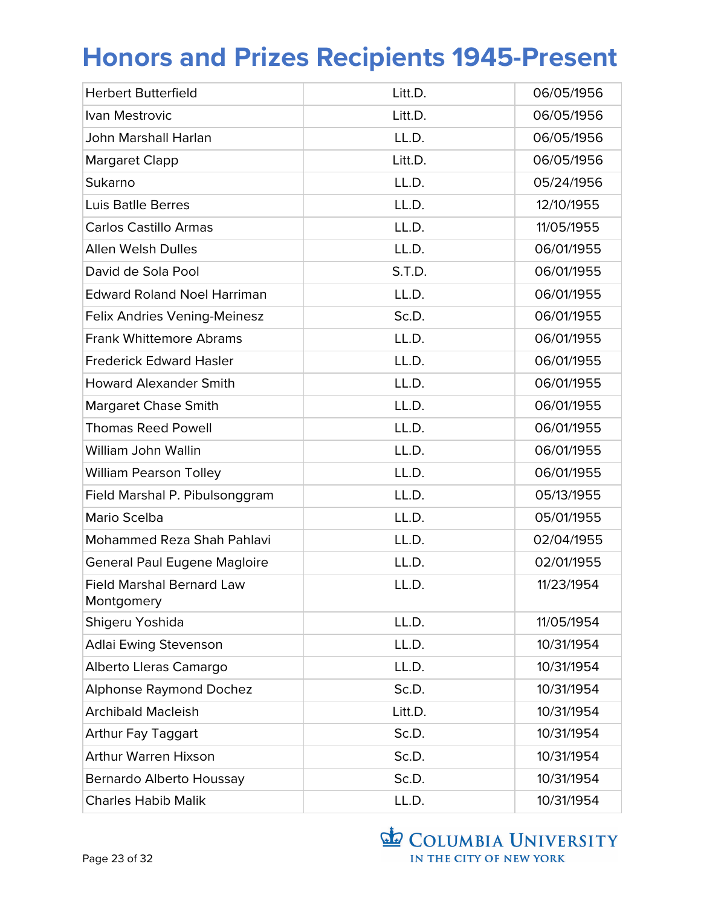| <b>Herbert Butterfield</b>                     | Litt.D. | 06/05/1956 |
|------------------------------------------------|---------|------------|
| Ivan Mestrovic                                 | Litt.D. | 06/05/1956 |
| John Marshall Harlan                           | LL.D.   | 06/05/1956 |
| <b>Margaret Clapp</b>                          | Litt.D. | 06/05/1956 |
| Sukarno                                        | LL.D.   | 05/24/1956 |
| <b>Luis Batlle Berres</b>                      | LL.D.   | 12/10/1955 |
| <b>Carlos Castillo Armas</b>                   | LL.D.   | 11/05/1955 |
| <b>Allen Welsh Dulles</b>                      | LL.D.   | 06/01/1955 |
| David de Sola Pool                             | S.T.D.  | 06/01/1955 |
| <b>Edward Roland Noel Harriman</b>             | LL.D.   | 06/01/1955 |
| Felix Andries Vening-Meinesz                   | Sc.D.   | 06/01/1955 |
| <b>Frank Whittemore Abrams</b>                 | LL.D.   | 06/01/1955 |
| <b>Frederick Edward Hasler</b>                 | LL.D.   | 06/01/1955 |
| <b>Howard Alexander Smith</b>                  | LL.D.   | 06/01/1955 |
| <b>Margaret Chase Smith</b>                    | LL.D.   | 06/01/1955 |
| <b>Thomas Reed Powell</b>                      | LL.D.   | 06/01/1955 |
| William John Wallin                            | LL.D.   | 06/01/1955 |
| <b>William Pearson Tolley</b>                  | LL.D.   | 06/01/1955 |
| Field Marshal P. Pibulsonggram                 | LL.D.   | 05/13/1955 |
| Mario Scelba                                   | LL.D.   | 05/01/1955 |
| Mohammed Reza Shah Pahlavi                     | LL.D.   | 02/04/1955 |
| <b>General Paul Eugene Magloire</b>            | LL.D.   | 02/01/1955 |
| <b>Field Marshal Bernard Law</b><br>Montgomery | LL.D.   | 11/23/1954 |
| Shigeru Yoshida                                | LL.D.   | 11/05/1954 |
| <b>Adlai Ewing Stevenson</b>                   | LL.D.   | 10/31/1954 |
| Alberto Lleras Camargo                         | LL.D.   | 10/31/1954 |
| <b>Alphonse Raymond Dochez</b>                 | Sc.D.   | 10/31/1954 |
| <b>Archibald Macleish</b>                      | Litt.D. | 10/31/1954 |
| <b>Arthur Fay Taggart</b>                      | Sc.D.   | 10/31/1954 |
| <b>Arthur Warren Hixson</b>                    | Sc.D.   | 10/31/1954 |
| Bernardo Alberto Houssay                       | Sc.D.   | 10/31/1954 |
| <b>Charles Habib Malik</b>                     | LL.D.   | 10/31/1954 |

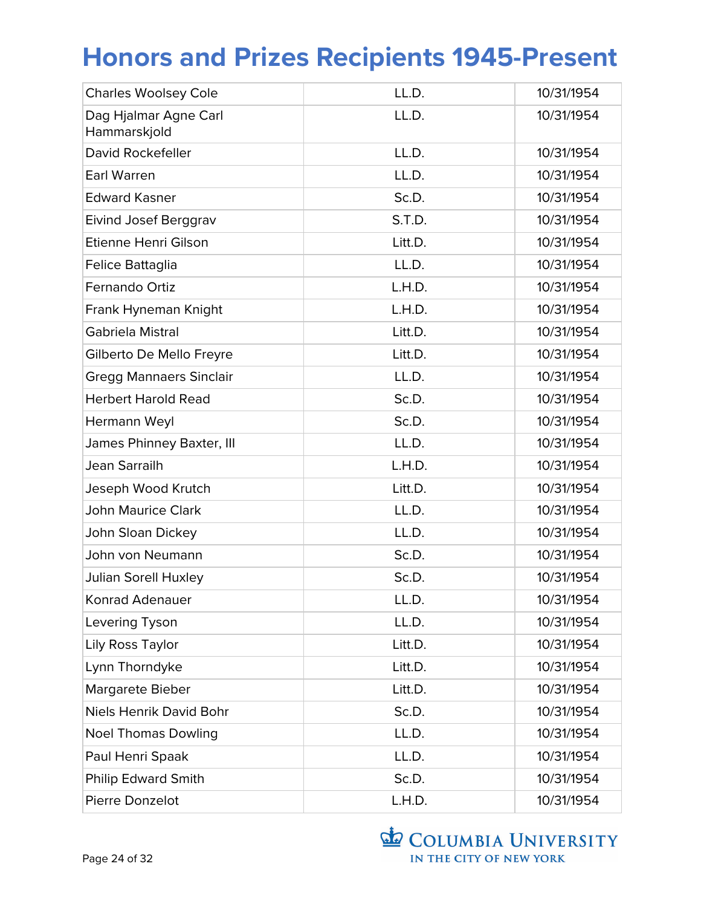| <b>Charles Woolsey Cole</b>           | LL.D.   | 10/31/1954 |
|---------------------------------------|---------|------------|
| Dag Hjalmar Agne Carl<br>Hammarskjold | LL.D.   | 10/31/1954 |
| David Rockefeller                     | LL.D.   | 10/31/1954 |
| <b>Earl Warren</b>                    | LL.D.   | 10/31/1954 |
| <b>Edward Kasner</b>                  | Sc.D.   | 10/31/1954 |
| Eivind Josef Berggrav                 | S.T.D.  | 10/31/1954 |
| Etienne Henri Gilson                  | Litt.D. | 10/31/1954 |
| Felice Battaglia                      | LL.D.   | 10/31/1954 |
| Fernando Ortiz                        | L.H.D.  | 10/31/1954 |
| Frank Hyneman Knight                  | L.H.D.  | 10/31/1954 |
| Gabriela Mistral                      | Litt.D. | 10/31/1954 |
| Gilberto De Mello Freyre              | Litt.D. | 10/31/1954 |
| <b>Gregg Mannaers Sinclair</b>        | LL.D.   | 10/31/1954 |
| <b>Herbert Harold Read</b>            | Sc.D.   | 10/31/1954 |
| Hermann Weyl                          | Sc.D.   | 10/31/1954 |
| James Phinney Baxter, III             | LL.D.   | 10/31/1954 |
| Jean Sarrailh                         | L.H.D.  | 10/31/1954 |
| Jeseph Wood Krutch                    | Litt.D. | 10/31/1954 |
| <b>John Maurice Clark</b>             | LL.D.   | 10/31/1954 |
| John Sloan Dickey                     | LL.D.   | 10/31/1954 |
| John von Neumann                      | Sc.D.   | 10/31/1954 |
| <b>Julian Sorell Huxley</b>           | Sc.D.   | 10/31/1954 |
| Konrad Adenauer                       | LL.D.   | 10/31/1954 |
| Levering Tyson                        | LL.D.   | 10/31/1954 |
| Lily Ross Taylor                      | Litt.D. | 10/31/1954 |
| Lynn Thorndyke                        | Litt.D. | 10/31/1954 |
| Margarete Bieber                      | Litt.D. | 10/31/1954 |
| Niels Henrik David Bohr               | Sc.D.   | 10/31/1954 |
| <b>Noel Thomas Dowling</b>            | LL.D.   | 10/31/1954 |
| Paul Henri Spaak                      | LL.D.   | 10/31/1954 |
| <b>Philip Edward Smith</b>            | Sc.D.   | 10/31/1954 |
| Pierre Donzelot                       | L.H.D.  | 10/31/1954 |

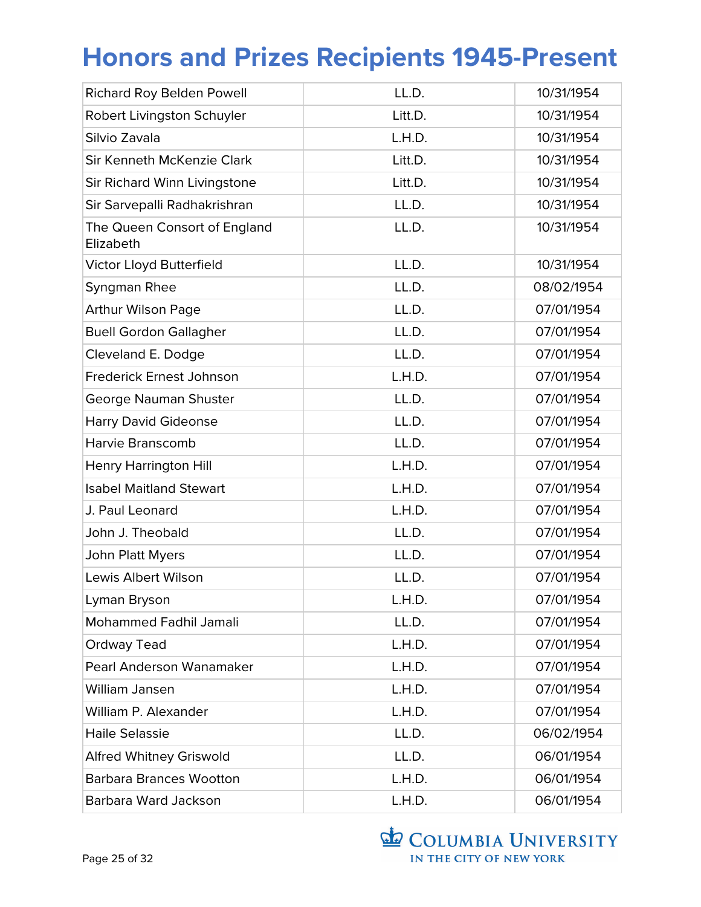| <b>Richard Roy Belden Powell</b>          | LL.D.   | 10/31/1954 |
|-------------------------------------------|---------|------------|
| Robert Livingston Schuyler                | Litt.D. | 10/31/1954 |
| Silvio Zavala                             | L.H.D.  | 10/31/1954 |
| Sir Kenneth McKenzie Clark                | Litt.D. | 10/31/1954 |
| Sir Richard Winn Livingstone              | Litt.D. | 10/31/1954 |
| Sir Sarvepalli Radhakrishran              | LL.D.   | 10/31/1954 |
| The Queen Consort of England<br>Elizabeth | LL.D.   | 10/31/1954 |
| Victor Lloyd Butterfield                  | LL.D.   | 10/31/1954 |
| Syngman Rhee                              | LL.D.   | 08/02/1954 |
| <b>Arthur Wilson Page</b>                 | LL.D.   | 07/01/1954 |
| <b>Buell Gordon Gallagher</b>             | LL.D.   | 07/01/1954 |
| Cleveland E. Dodge                        | LL.D.   | 07/01/1954 |
| Frederick Ernest Johnson                  | L.H.D.  | 07/01/1954 |
| George Nauman Shuster                     | LL.D.   | 07/01/1954 |
| <b>Harry David Gideonse</b>               | LL.D.   | 07/01/1954 |
| Harvie Branscomb                          | LL.D.   | 07/01/1954 |
| <b>Henry Harrington Hill</b>              | L.H.D.  | 07/01/1954 |
| <b>Isabel Maitland Stewart</b>            | L.H.D.  | 07/01/1954 |
| J. Paul Leonard                           | L.H.D.  | 07/01/1954 |
| John J. Theobald                          | LL.D.   | 07/01/1954 |
| John Platt Myers                          | LL.D.   | 07/01/1954 |
| <b>Lewis Albert Wilson</b>                | LL.D.   | 07/01/1954 |
| Lyman Bryson                              | L.H.D.  | 07/01/1954 |
| <b>Mohammed Fadhil Jamali</b>             | LL.D.   | 07/01/1954 |
| Ordway Tead                               | L.H.D.  | 07/01/1954 |
| Pearl Anderson Wanamaker                  | L.H.D.  | 07/01/1954 |
| William Jansen                            | L.H.D.  | 07/01/1954 |
| William P. Alexander                      | L.H.D.  | 07/01/1954 |
| <b>Haile Selassie</b>                     | LL.D.   | 06/02/1954 |
| <b>Alfred Whitney Griswold</b>            | LL.D.   | 06/01/1954 |
| <b>Barbara Brances Wootton</b>            | L.H.D.  | 06/01/1954 |
| Barbara Ward Jackson                      | L.H.D.  | 06/01/1954 |

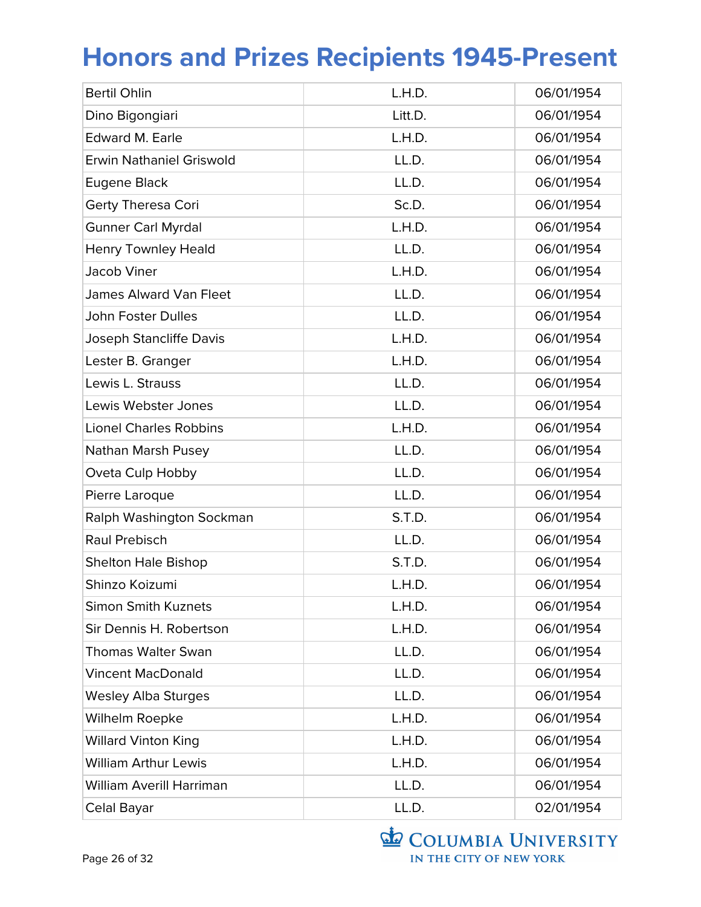| <b>Bertil Ohlin</b>             | L.H.D.  | 06/01/1954 |
|---------------------------------|---------|------------|
| Dino Bigongiari                 | Litt.D. | 06/01/1954 |
| <b>Edward M. Earle</b>          | L.H.D.  | 06/01/1954 |
| <b>Erwin Nathaniel Griswold</b> | LL.D.   | 06/01/1954 |
| Eugene Black                    | LL.D.   | 06/01/1954 |
| Gerty Theresa Cori              | Sc.D.   | 06/01/1954 |
| <b>Gunner Carl Myrdal</b>       | L.H.D.  | 06/01/1954 |
| <b>Henry Townley Heald</b>      | LL.D.   | 06/01/1954 |
| Jacob Viner                     | L.H.D.  | 06/01/1954 |
| <b>James Alward Van Fleet</b>   | LL.D.   | 06/01/1954 |
| <b>John Foster Dulles</b>       | LL.D.   | 06/01/1954 |
| Joseph Stancliffe Davis         | L.H.D.  | 06/01/1954 |
| Lester B. Granger               | L.H.D.  | 06/01/1954 |
| Lewis L. Strauss                | LL.D.   | 06/01/1954 |
| Lewis Webster Jones             | LL.D.   | 06/01/1954 |
| <b>Lionel Charles Robbins</b>   | L.H.D.  | 06/01/1954 |
| Nathan Marsh Pusey              | LL.D.   | 06/01/1954 |
| Oveta Culp Hobby                | LL.D.   | 06/01/1954 |
| Pierre Laroque                  | LL.D.   | 06/01/1954 |
| Ralph Washington Sockman        | S.T.D.  | 06/01/1954 |
| Raul Prebisch                   | LL.D.   | 06/01/1954 |
| <b>Shelton Hale Bishop</b>      | S.T.D.  | 06/01/1954 |
| Shinzo Koizumi                  | L.H.D.  | 06/01/1954 |
| <b>Simon Smith Kuznets</b>      | L.H.D.  | 06/01/1954 |
| Sir Dennis H. Robertson         | L.H.D.  | 06/01/1954 |
| <b>Thomas Walter Swan</b>       | LL.D.   | 06/01/1954 |
| <b>Vincent MacDonald</b>        | LL.D.   | 06/01/1954 |
| <b>Wesley Alba Sturges</b>      | LL.D.   | 06/01/1954 |
| Wilhelm Roepke                  | L.H.D.  | 06/01/1954 |
| <b>Willard Vinton King</b>      | L.H.D.  | 06/01/1954 |
| <b>William Arthur Lewis</b>     | L.H.D.  | 06/01/1954 |
| <b>William Averill Harriman</b> | LL.D.   | 06/01/1954 |
| Celal Bayar                     | LL.D.   | 02/01/1954 |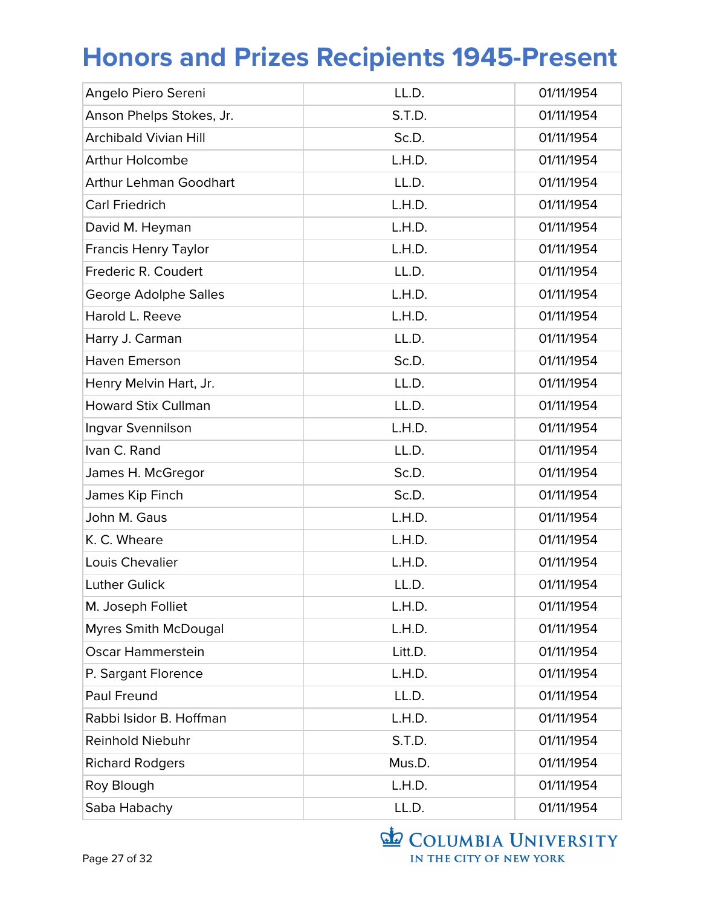| Angelo Piero Sereni           | LL.D.   | 01/11/1954 |
|-------------------------------|---------|------------|
| Anson Phelps Stokes, Jr.      | S.T.D.  | 01/11/1954 |
| <b>Archibald Vivian Hill</b>  | Sc.D.   | 01/11/1954 |
| <b>Arthur Holcombe</b>        | L.H.D.  | 01/11/1954 |
| <b>Arthur Lehman Goodhart</b> | LL.D.   | 01/11/1954 |
| <b>Carl Friedrich</b>         | L.H.D.  | 01/11/1954 |
| David M. Heyman               | L.H.D.  | 01/11/1954 |
| <b>Francis Henry Taylor</b>   | L.H.D.  | 01/11/1954 |
| Frederic R. Coudert           | LL.D.   | 01/11/1954 |
| George Adolphe Salles         | L.H.D.  | 01/11/1954 |
| Harold L. Reeve               | L.H.D.  | 01/11/1954 |
| Harry J. Carman               | LL.D.   | 01/11/1954 |
| Haven Emerson                 | Sc.D.   | 01/11/1954 |
| Henry Melvin Hart, Jr.        | LL.D.   | 01/11/1954 |
| <b>Howard Stix Cullman</b>    | LL.D.   | 01/11/1954 |
| Ingvar Svennilson             | L.H.D.  | 01/11/1954 |
| Ivan C. Rand                  | LL.D.   | 01/11/1954 |
| James H. McGregor             | Sc.D.   | 01/11/1954 |
| James Kip Finch               | Sc.D.   | 01/11/1954 |
| John M. Gaus                  | L.H.D.  | 01/11/1954 |
| K. C. Wheare                  | L.H.D.  | 01/11/1954 |
| Louis Chevalier               | L.H.D.  | 01/11/1954 |
| <b>Luther Gulick</b>          | LL.D.   | 01/11/1954 |
| M. Joseph Folliet             | L.H.D.  | 01/11/1954 |
| <b>Myres Smith McDougal</b>   | L.H.D.  | 01/11/1954 |
| <b>Oscar Hammerstein</b>      | Litt.D. | 01/11/1954 |
| P. Sargant Florence           | L.H.D.  | 01/11/1954 |
| Paul Freund                   | LL.D.   | 01/11/1954 |
| Rabbi Isidor B. Hoffman       | L.H.D.  | 01/11/1954 |
| <b>Reinhold Niebuhr</b>       | S.T.D.  | 01/11/1954 |
| <b>Richard Rodgers</b>        | Mus.D.  | 01/11/1954 |
| Roy Blough                    | L.H.D.  | 01/11/1954 |
| Saba Habachy                  | LL.D.   | 01/11/1954 |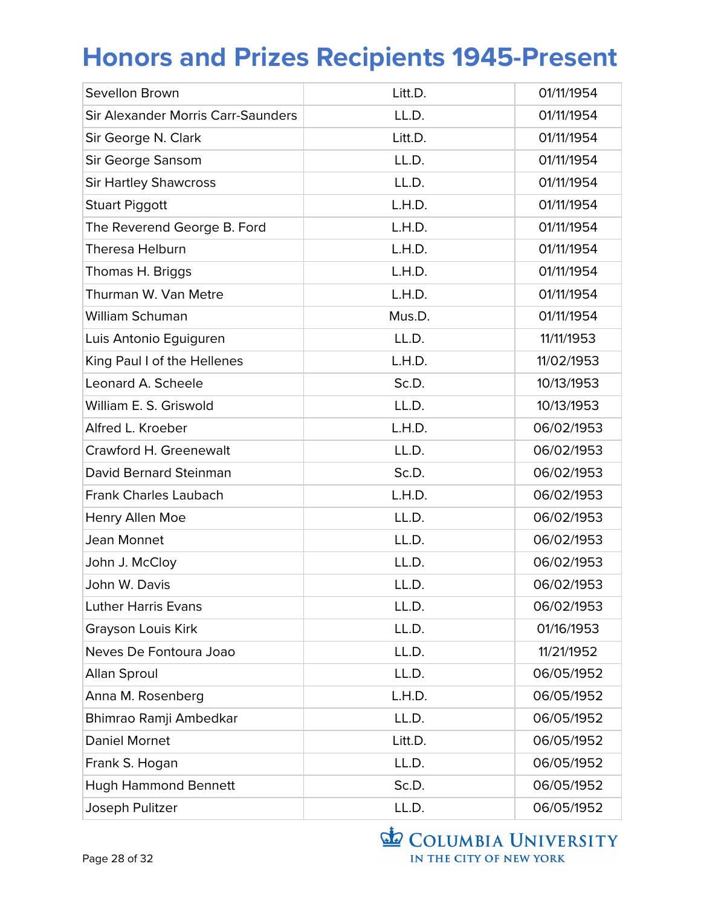| Sevellon Brown                     | Litt.D. | 01/11/1954 |
|------------------------------------|---------|------------|
| Sir Alexander Morris Carr-Saunders | LL.D.   | 01/11/1954 |
| Sir George N. Clark                | Litt.D. | 01/11/1954 |
| Sir George Sansom                  | LL.D.   | 01/11/1954 |
| <b>Sir Hartley Shawcross</b>       | LL.D.   | 01/11/1954 |
| <b>Stuart Piggott</b>              | L.H.D.  | 01/11/1954 |
| The Reverend George B. Ford        | L.H.D.  | 01/11/1954 |
| <b>Theresa Helburn</b>             | L.H.D.  | 01/11/1954 |
| Thomas H. Briggs                   | L.H.D.  | 01/11/1954 |
| Thurman W. Van Metre               | L.H.D.  | 01/11/1954 |
| William Schuman                    | Mus.D.  | 01/11/1954 |
| Luis Antonio Eguiguren             | LL.D.   | 11/11/1953 |
| King Paul I of the Hellenes        | L.H.D.  | 11/02/1953 |
| Leonard A. Scheele                 | Sc.D.   | 10/13/1953 |
| William E. S. Griswold             | LL.D.   | 10/13/1953 |
| Alfred L. Kroeber                  | L.H.D.  | 06/02/1953 |
| Crawford H. Greenewalt             | LL.D.   | 06/02/1953 |
| David Bernard Steinman             | Sc.D.   | 06/02/1953 |
| <b>Frank Charles Laubach</b>       | L.H.D.  | 06/02/1953 |
| Henry Allen Moe                    | LL.D.   | 06/02/1953 |
| Jean Monnet                        | LL.D.   | 06/02/1953 |
| John J. McCloy                     | LL.D.   | 06/02/1953 |
| John W. Davis                      | LL.D.   | 06/02/1953 |
| <b>Luther Harris Evans</b>         | LL.D.   | 06/02/1953 |
| Grayson Louis Kirk                 | LL.D.   | 01/16/1953 |
| Neves De Fontoura Joao             | LL.D.   | 11/21/1952 |
| <b>Allan Sproul</b>                | LL.D.   | 06/05/1952 |
| Anna M. Rosenberg                  | L.H.D.  | 06/05/1952 |
| Bhimrao Ramji Ambedkar             | LL.D.   | 06/05/1952 |
| Daniel Mornet                      | Litt.D. | 06/05/1952 |
| Frank S. Hogan                     | LL.D.   | 06/05/1952 |
| <b>Hugh Hammond Bennett</b>        | Sc.D.   | 06/05/1952 |
| Joseph Pulitzer                    | LL.D.   | 06/05/1952 |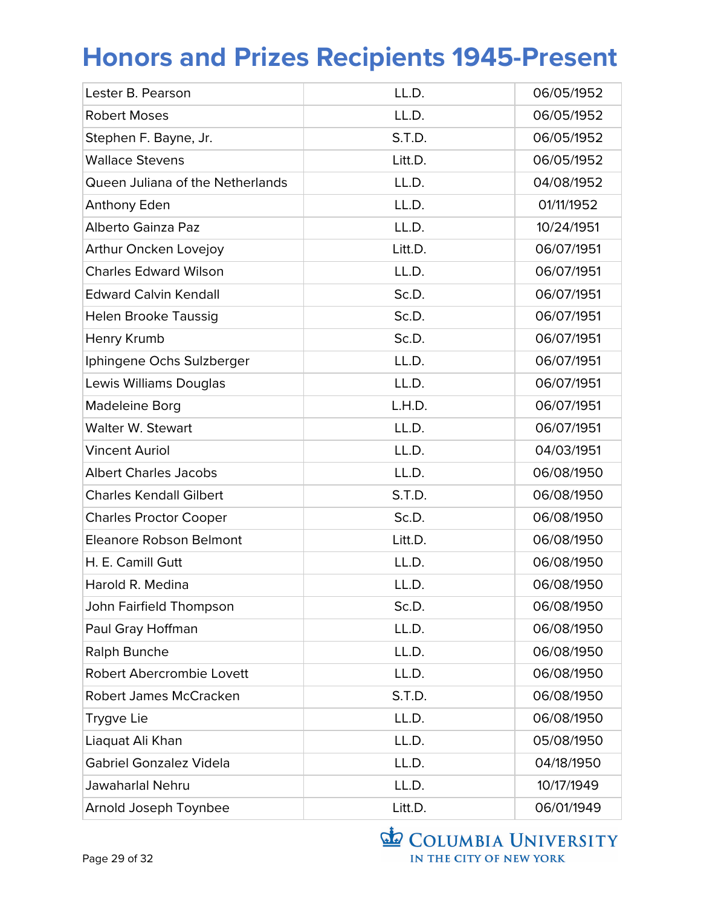| Lester B. Pearson                | LL.D.   | 06/05/1952 |
|----------------------------------|---------|------------|
| <b>Robert Moses</b>              | LL.D.   | 06/05/1952 |
| Stephen F. Bayne, Jr.            | S.T.D.  | 06/05/1952 |
| <b>Wallace Stevens</b>           | Litt.D. | 06/05/1952 |
| Queen Juliana of the Netherlands | LL.D.   | 04/08/1952 |
| Anthony Eden                     | LL.D.   | 01/11/1952 |
| Alberto Gainza Paz               | LL.D.   | 10/24/1951 |
| Arthur Oncken Lovejoy            | Litt.D. | 06/07/1951 |
| <b>Charles Edward Wilson</b>     | LL.D.   | 06/07/1951 |
| <b>Edward Calvin Kendall</b>     | Sc.D.   | 06/07/1951 |
| <b>Helen Brooke Taussig</b>      | Sc.D.   | 06/07/1951 |
| Henry Krumb                      | Sc.D.   | 06/07/1951 |
| Iphingene Ochs Sulzberger        | LL.D.   | 06/07/1951 |
| Lewis Williams Douglas           | LL.D.   | 06/07/1951 |
| Madeleine Borg                   | L.H.D.  | 06/07/1951 |
| Walter W. Stewart                | LL.D.   | 06/07/1951 |
| <b>Vincent Auriol</b>            | LL.D.   | 04/03/1951 |
| <b>Albert Charles Jacobs</b>     | LL.D.   | 06/08/1950 |
| <b>Charles Kendall Gilbert</b>   | S.T.D.  | 06/08/1950 |
| <b>Charles Proctor Cooper</b>    | Sc.D.   | 06/08/1950 |
| Eleanore Robson Belmont          | Litt.D. | 06/08/1950 |
| H. E. Camill Gutt                | LL.D.   | 06/08/1950 |
| Harold R. Medina                 | LL.D.   | 06/08/1950 |
| John Fairfield Thompson          | Sc.D.   | 06/08/1950 |
| Paul Gray Hoffman                | LL.D.   | 06/08/1950 |
| Ralph Bunche                     | LL.D.   | 06/08/1950 |
| Robert Abercrombie Lovett        | LL.D.   | 06/08/1950 |
| Robert James McCracken           | S.T.D.  | 06/08/1950 |
| Trygve Lie                       | LL.D.   | 06/08/1950 |
| Liaquat Ali Khan                 | LL.D.   | 05/08/1950 |
| <b>Gabriel Gonzalez Videla</b>   | LL.D.   | 04/18/1950 |
| Jawaharlal Nehru                 | LL.D.   | 10/17/1949 |
| Arnold Joseph Toynbee            | Litt.D. | 06/01/1949 |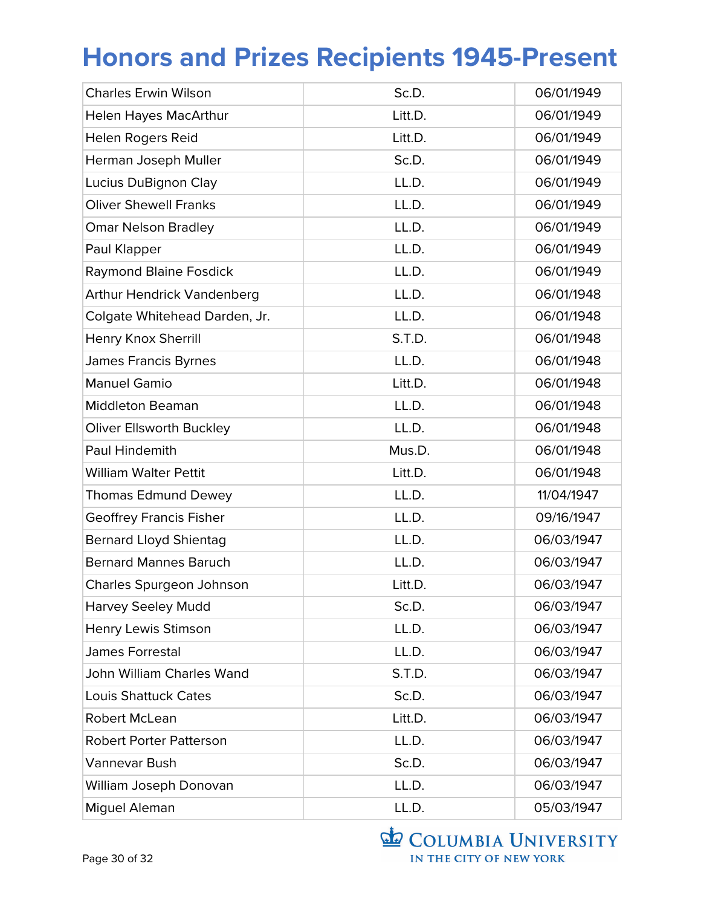| <b>Charles Erwin Wilson</b>       | Sc.D.   | 06/01/1949 |
|-----------------------------------|---------|------------|
| <b>Helen Hayes MacArthur</b>      | Litt.D. | 06/01/1949 |
| Helen Rogers Reid                 | Litt.D. | 06/01/1949 |
| Herman Joseph Muller              | Sc.D.   | 06/01/1949 |
| Lucius DuBignon Clay              | LL.D.   | 06/01/1949 |
| <b>Oliver Shewell Franks</b>      | LL.D.   | 06/01/1949 |
| <b>Omar Nelson Bradley</b>        | LL.D.   | 06/01/1949 |
| Paul Klapper                      | LL.D.   | 06/01/1949 |
| <b>Raymond Blaine Fosdick</b>     | LL.D.   | 06/01/1949 |
| <b>Arthur Hendrick Vandenberg</b> | LL.D.   | 06/01/1948 |
| Colgate Whitehead Darden, Jr.     | LL.D.   | 06/01/1948 |
| Henry Knox Sherrill               | S.T.D.  | 06/01/1948 |
| <b>James Francis Byrnes</b>       | LL.D.   | 06/01/1948 |
| <b>Manuel Gamio</b>               | Litt.D. | 06/01/1948 |
| <b>Middleton Beaman</b>           | LL.D.   | 06/01/1948 |
| <b>Oliver Ellsworth Buckley</b>   | LL.D.   | 06/01/1948 |
| Paul Hindemith                    | Mus.D.  | 06/01/1948 |
| <b>William Walter Pettit</b>      | Litt.D. | 06/01/1948 |
| <b>Thomas Edmund Dewey</b>        | LL.D.   | 11/04/1947 |
| <b>Geoffrey Francis Fisher</b>    | LL.D.   | 09/16/1947 |
| <b>Bernard Lloyd Shientag</b>     | LL.D.   | 06/03/1947 |
| <b>Bernard Mannes Baruch</b>      | LL.D.   | 06/03/1947 |
| Charles Spurgeon Johnson          | Litt.D. | 06/03/1947 |
| <b>Harvey Seeley Mudd</b>         | Sc.D.   | 06/03/1947 |
| Henry Lewis Stimson               | LL.D.   | 06/03/1947 |
| James Forrestal                   | LL.D.   | 06/03/1947 |
| John William Charles Wand         | S.T.D.  | 06/03/1947 |
| <b>Louis Shattuck Cates</b>       | Sc.D.   | 06/03/1947 |
| <b>Robert McLean</b>              | Litt.D. | 06/03/1947 |
| <b>Robert Porter Patterson</b>    | LL.D.   | 06/03/1947 |
| Vannevar Bush                     | Sc.D.   | 06/03/1947 |
| William Joseph Donovan            | LL.D.   | 06/03/1947 |
| Miguel Aleman                     | LL.D.   | 05/03/1947 |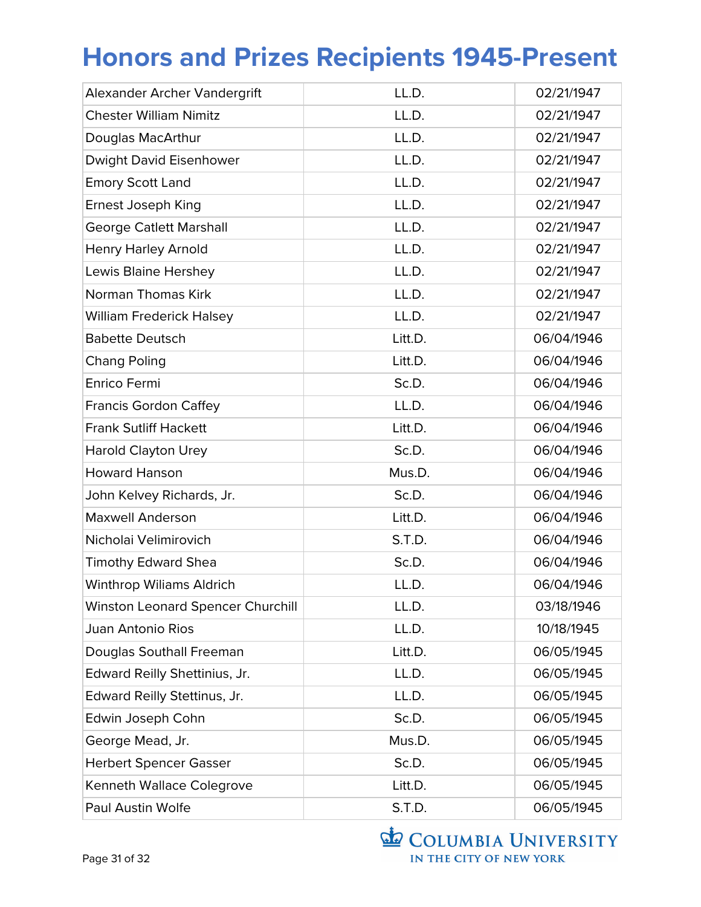| Alexander Archer Vandergrift      | LL.D.   | 02/21/1947 |
|-----------------------------------|---------|------------|
| <b>Chester William Nimitz</b>     | LL.D.   | 02/21/1947 |
| Douglas MacArthur                 | LL.D.   | 02/21/1947 |
| Dwight David Eisenhower           | LL.D.   | 02/21/1947 |
| <b>Emory Scott Land</b>           | LL.D.   | 02/21/1947 |
| Ernest Joseph King                | LL.D.   | 02/21/1947 |
| <b>George Catlett Marshall</b>    | LL.D.   | 02/21/1947 |
| <b>Henry Harley Arnold</b>        | LL.D.   | 02/21/1947 |
| Lewis Blaine Hershey              | LL.D.   | 02/21/1947 |
|                                   |         |            |
| Norman Thomas Kirk                | LL.D.   | 02/21/1947 |
| <b>William Frederick Halsey</b>   | LL.D.   | 02/21/1947 |
| <b>Babette Deutsch</b>            | Litt.D. | 06/04/1946 |
| <b>Chang Poling</b>               | Litt.D. | 06/04/1946 |
| <b>Enrico Fermi</b>               | Sc.D.   | 06/04/1946 |
| <b>Francis Gordon Caffey</b>      | LL.D.   | 06/04/1946 |
| <b>Frank Sutliff Hackett</b>      | Litt.D. | 06/04/1946 |
| <b>Harold Clayton Urey</b>        | Sc.D.   | 06/04/1946 |
| <b>Howard Hanson</b>              | Mus.D.  | 06/04/1946 |
| John Kelvey Richards, Jr.         | Sc.D.   | 06/04/1946 |
| <b>Maxwell Anderson</b>           | Litt.D. | 06/04/1946 |
| Nicholai Velimirovich             | S.T.D.  | 06/04/1946 |
| <b>Timothy Edward Shea</b>        | Sc.D.   | 06/04/1946 |
| <b>Winthrop Wiliams Aldrich</b>   | LL.D.   | 06/04/1946 |
| Winston Leonard Spencer Churchill | LL.D.   | 03/18/1946 |
| <b>Juan Antonio Rios</b>          | LL.D.   | 10/18/1945 |
| Douglas Southall Freeman          | Litt.D. | 06/05/1945 |
| Edward Reilly Shettinius, Jr.     | LL.D.   | 06/05/1945 |
| Edward Reilly Stettinus, Jr.      | LL.D.   | 06/05/1945 |
| Edwin Joseph Cohn                 | Sc.D.   | 06/05/1945 |
| George Mead, Jr.                  | Mus.D.  | 06/05/1945 |
| <b>Herbert Spencer Gasser</b>     | Sc.D.   | 06/05/1945 |
| Kenneth Wallace Colegrove         | Litt.D. | 06/05/1945 |
| Paul Austin Wolfe                 | S.T.D.  | 06/05/1945 |